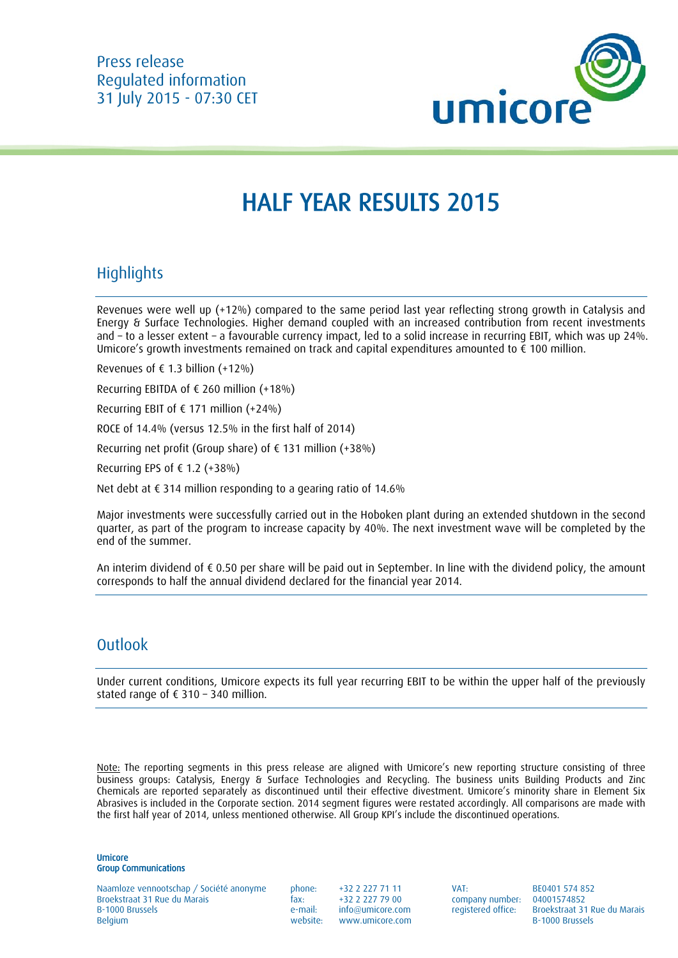

# HALF YEAR RESULTS 2015

## **Highlights**

Revenues were well up (+12%) compared to the same period last year reflecting strong growth in Catalysis and Energy & Surface Technologies. Higher demand coupled with an increased contribution from recent investments and – to a lesser extent – a favourable currency impact, led to a solid increase in recurring EBIT, which was up 24%. Umicore's growth investments remained on track and capital expenditures amounted to € 100 million.

Revenues of  $f$  1.3 billion (+12%)

Recurring EBITDA of  $\epsilon$  260 million (+18%)

Recurring EBIT of  $\epsilon$  171 million (+24%)

ROCE of 14.4% (versus 12.5% in the first half of 2014)

Recurring net profit (Group share) of € 131 million (+38%)

Recurring EPS of  $\epsilon$  1.2 (+38%)

Net debt at € 314 million responding to a gearing ratio of 14.6%

Major investments were successfully carried out in the Hoboken plant during an extended shutdown in the second quarter, as part of the program to increase capacity by 40%. The next investment wave will be completed by the end of the summer.

An interim dividend of € 0.50 per share will be paid out in September. In line with the dividend policy, the amount corresponds to half the annual dividend declared for the financial year 2014.

## **Outlook**

Under current conditions, Umicore expects its full year recurring EBIT to be within the upper half of the previously stated range of € 310 – 340 million.

Note: The reporting segments in this press release are aligned with Umicore's new reporting structure consisting of three business groups: Catalysis, Energy & Surface Technologies and Recycling. The business units Building Products and Zinc Chemicals are reported separately as discontinued until their effective divestment. Umicore's minority share in Element Six Abrasives is included in the Corporate section. 2014 segment figures were restated accordingly. All comparisons are made with the first half year of 2014, unless mentioned otherwise. All Group KPI's include the discontinued operations.

Umicore Group Communications

Naamloze vennootschap / Société anonyme phone: +32 2 227 71 11 VAT: BE0401 574 852 Broekstraat 31 Rue du Marais fax: +32 2 227 79 00 company number: 04001574852 Belgium Belgium Belgium Belgium Belgium Brussels et al. et al. et al. et al. et al. et al. et al. et al. et al

e-mail: info@umicore.com registered office: Broekstraat 31 Rue du Marais<br>website: www.umicore.com b-1000 Brussels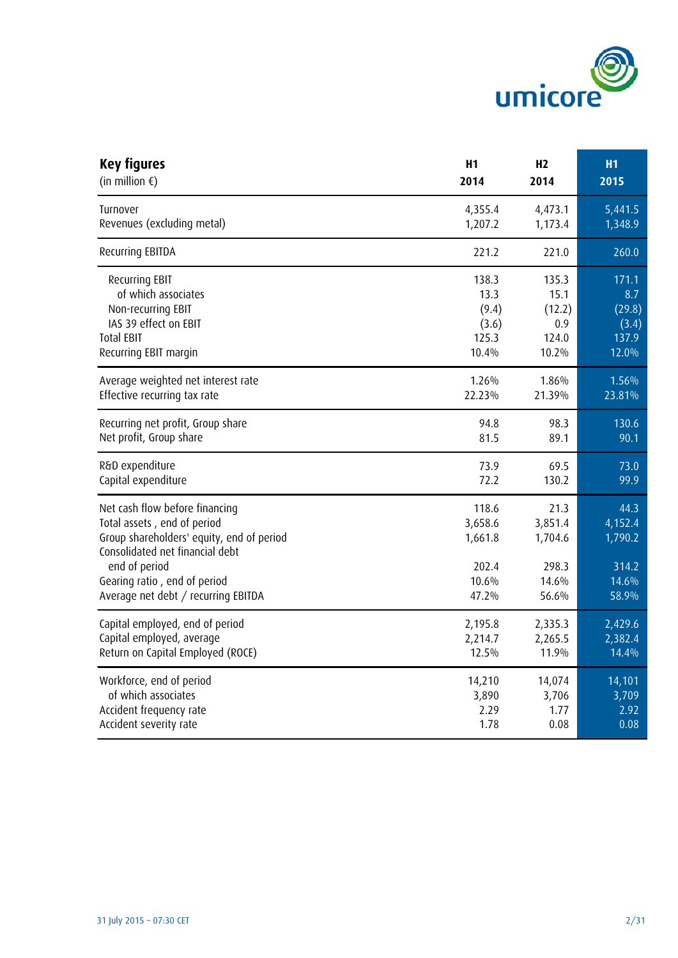

| <b>Key figures</b>                                                                                                                                                                                                                    | H1                                                     | H <sub>2</sub>                                        | <b>H1</b>                                             |
|---------------------------------------------------------------------------------------------------------------------------------------------------------------------------------------------------------------------------------------|--------------------------------------------------------|-------------------------------------------------------|-------------------------------------------------------|
| (in million $\xi$ )                                                                                                                                                                                                                   | 2014                                                   | 2014                                                  | 2015                                                  |
| Turnover                                                                                                                                                                                                                              | 4,355.4                                                | 4,473.1                                               | 5,441.5                                               |
| Revenues (excluding metal)                                                                                                                                                                                                            | 1,207.2                                                | 1,173.4                                               | 1,348.9                                               |
| Recurring EBITDA                                                                                                                                                                                                                      | 221.2                                                  | 221.0                                                 | 260.0                                                 |
| Recurring EBIT                                                                                                                                                                                                                        | 138.3                                                  | 135.3                                                 | 171.1                                                 |
| of which associates                                                                                                                                                                                                                   | 13.3                                                   | 15.1                                                  | 8.7                                                   |
| Non-recurring EBIT                                                                                                                                                                                                                    | (9.4)                                                  | (12.2)                                                | (29.8)                                                |
| IAS 39 effect on EBIT                                                                                                                                                                                                                 | (3.6)                                                  | 0.9                                                   | (3.4)                                                 |
| <b>Total EBIT</b>                                                                                                                                                                                                                     | 125.3                                                  | 124.0                                                 | 137.9                                                 |
| Recurring EBIT margin                                                                                                                                                                                                                 | 10.4%                                                  | 10.2%                                                 | 12.0%                                                 |
| Average weighted net interest rate                                                                                                                                                                                                    | 1.26%                                                  | 1.86%                                                 | 1.56%                                                 |
| Effective recurring tax rate                                                                                                                                                                                                          | 22.23%                                                 | 21.39%                                                | 23.81%                                                |
| Recurring net profit, Group share                                                                                                                                                                                                     | 94.8                                                   | 98.3                                                  | 130.6                                                 |
| Net profit, Group share                                                                                                                                                                                                               | 81.5                                                   | 89.1                                                  | 90.1                                                  |
| R&D expenditure                                                                                                                                                                                                                       | 73.9                                                   | 69.5                                                  | 73.0                                                  |
| Capital expenditure                                                                                                                                                                                                                   | 72.2                                                   | 130.2                                                 | 99.9                                                  |
| Net cash flow before financing<br>Total assets, end of period<br>Group shareholders' equity, end of period<br>Consolidated net financial debt<br>end of period<br>Gearing ratio, end of period<br>Average net debt / recurring EBITDA | 118.6<br>3,658.6<br>1,661.8<br>202.4<br>10.6%<br>47.2% | 21.3<br>3,851.4<br>1,704.6<br>298.3<br>14.6%<br>56.6% | 44.3<br>4,152.4<br>1,790.2<br>314.2<br>14.6%<br>58.9% |
| Capital employed, end of period                                                                                                                                                                                                       | 2,195.8                                                | 2,335.3                                               | 2,429.6                                               |
| Capital employed, average                                                                                                                                                                                                             | 2,214.7                                                | 2,265.5                                               | 2,382.4                                               |
| Return on Capital Employed (ROCE)                                                                                                                                                                                                     | 12.5%                                                  | 11.9%                                                 | 14.4%                                                 |
| Workforce, end of period                                                                                                                                                                                                              | 14,210                                                 | 14,074                                                | 14,101                                                |
| of which associates                                                                                                                                                                                                                   | 3,890                                                  | 3,706                                                 | 3,709                                                 |
| Accident frequency rate                                                                                                                                                                                                               | 2.29                                                   | 1.77                                                  | 2.92                                                  |
| Accident severity rate                                                                                                                                                                                                                | 1.78                                                   | 0.08                                                  | 0.08                                                  |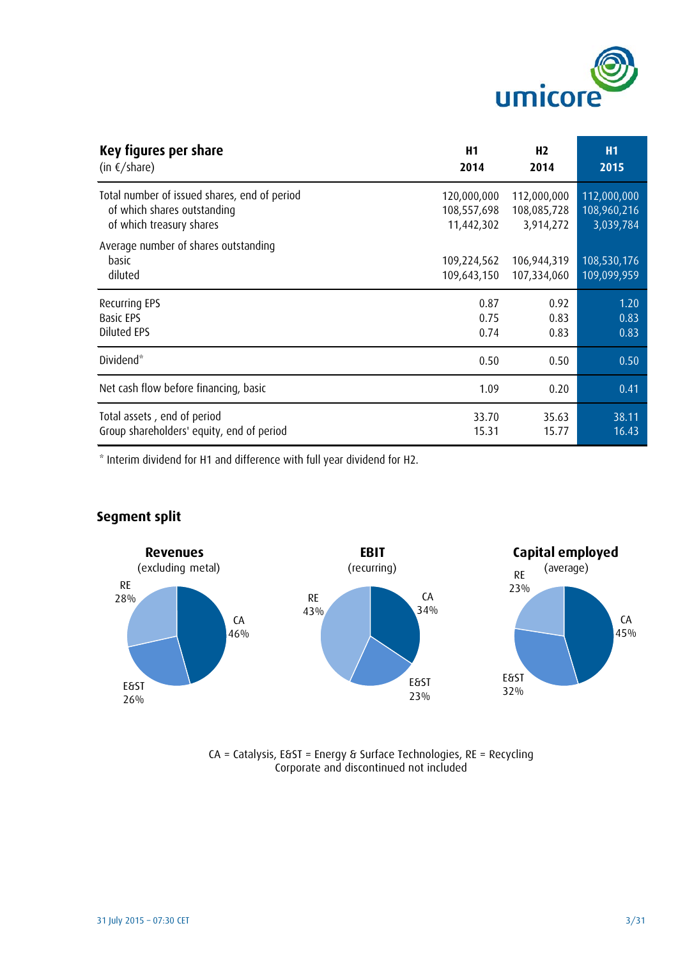

| Key figures per share                                    | H <sub>1</sub>             | H <sub>2</sub>             | <b>H1</b>                  |
|----------------------------------------------------------|----------------------------|----------------------------|----------------------------|
| $(in \in / \text{share})$                                | 2014                       | 2014                       | 2015                       |
| Total number of issued shares, end of period             | 120,000,000                | 112,000,000                | 112,000,000                |
| of which shares outstanding                              | 108,557,698                | 108,085,728                | 108,960,216                |
| of which treasury shares                                 | 11,442,302                 | 3,914,272                  | 3,039,784                  |
| Average number of shares outstanding<br>basic<br>diluted | 109,224,562<br>109,643,150 | 106,944,319<br>107,334,060 | 108,530,176<br>109,099,959 |
| Recurring EPS                                            | 0.87                       | 0.92                       | 1.20                       |
| <b>Basic EPS</b>                                         | 0.75                       | 0.83                       | 0.83                       |
| Diluted EPS                                              | 0.74                       | 0.83                       | 0.83                       |
| Dividend <sup>*</sup>                                    | 0.50                       | 0.50                       | 0.50                       |
| Net cash flow before financing, basic                    | 1.09                       | 0.20                       | 0.41                       |
| Total assets, end of period                              | 33.70                      | 35.63                      | 38.11                      |
| Group shareholders' equity, end of period                | 15.31                      | 15.77                      | 16.43                      |

\* Interim dividend for H1 and difference with full year dividend for H2.



## **Segment split**



CA = Catalysis, E&ST = Energy & Surface Technologies, RE = Recycling Corporate and discontinued not included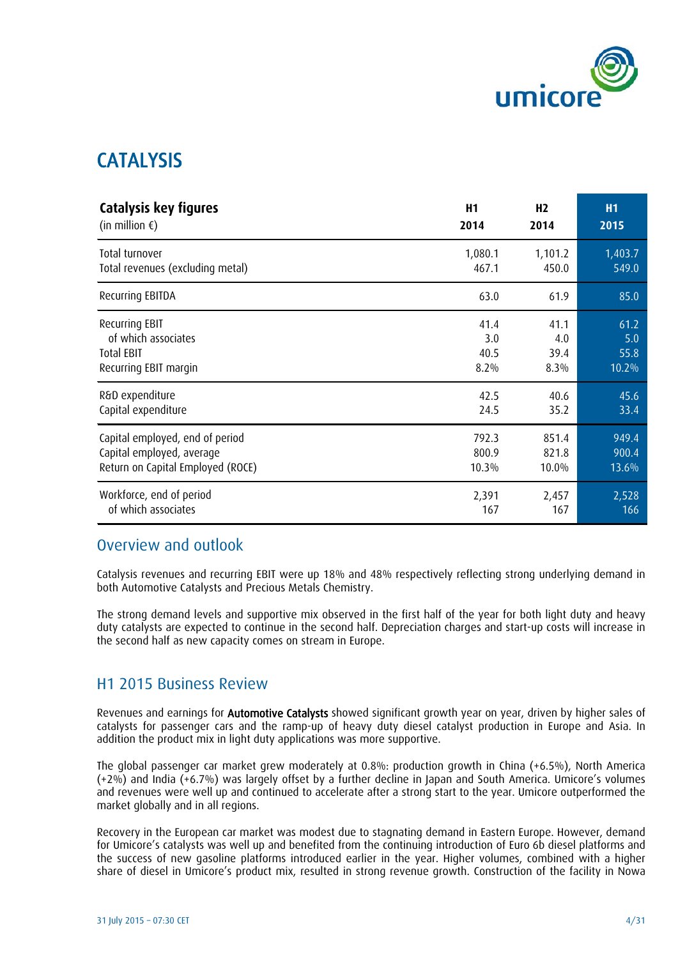

## CATALYSIS

| Catalysis key figures             | H1      | H <sub>2</sub> | <b>H1</b> |
|-----------------------------------|---------|----------------|-----------|
| (in million $\epsilon$ )          | 2014    | 2014           | 2015      |
| Total turnover                    | 1,080.1 | 1,101.2        | 1,403.7   |
| Total revenues (excluding metal)  | 467.1   | 450.0          | 549.0     |
| Recurring EBITDA                  | 63.0    | 61.9           | 85.0      |
| <b>Recurring EBIT</b>             | 41.4    | 41.1           | 61.2      |
| of which associates               | 3.0     | 4.0            | 5.0       |
| <b>Total EBIT</b>                 | 40.5    | 39.4           | 55.8      |
| Recurring EBIT margin             | 8.2%    | 8.3%           | 10.2%     |
| R&D expenditure                   | 42.5    | 40.6           | 45.6      |
| Capital expenditure               | 24.5    | 35.2           | 33.4      |
| Capital employed, end of period   | 792.3   | 851.4          | 949.4     |
| Capital employed, average         | 800.9   | 821.8          | 900.4     |
| Return on Capital Employed (ROCE) | 10.3%   | 10.0%          | 13.6%     |
| Workforce, end of period          | 2,391   | 2,457          | 2,528     |
| of which associates               | 167     | 167            | 166       |

## Overview and outlook

Catalysis revenues and recurring EBIT were up 18% and 48% respectively reflecting strong underlying demand in both Automotive Catalysts and Precious Metals Chemistry.

The strong demand levels and supportive mix observed in the first half of the year for both light duty and heavy duty catalysts are expected to continue in the second half. Depreciation charges and start-up costs will increase in the second half as new capacity comes on stream in Europe.

## H1 2015 Business Review

Revenues and earnings for Automotive Catalysts showed significant growth year on year, driven by higher sales of catalysts for passenger cars and the ramp-up of heavy duty diesel catalyst production in Europe and Asia. In addition the product mix in light duty applications was more supportive.

The global passenger car market grew moderately at 0.8%: production growth in China (+6.5%), North America (+2%) and India (+6.7%) was largely offset by a further decline in Japan and South America. Umicore's volumes and revenues were well up and continued to accelerate after a strong start to the year. Umicore outperformed the market globally and in all regions.

Recovery in the European car market was modest due to stagnating demand in Eastern Europe. However, demand for Umicore's catalysts was well up and benefited from the continuing introduction of Euro 6b diesel platforms and the success of new gasoline platforms introduced earlier in the year. Higher volumes, combined with a higher share of diesel in Umicore's product mix, resulted in strong revenue growth. Construction of the facility in Nowa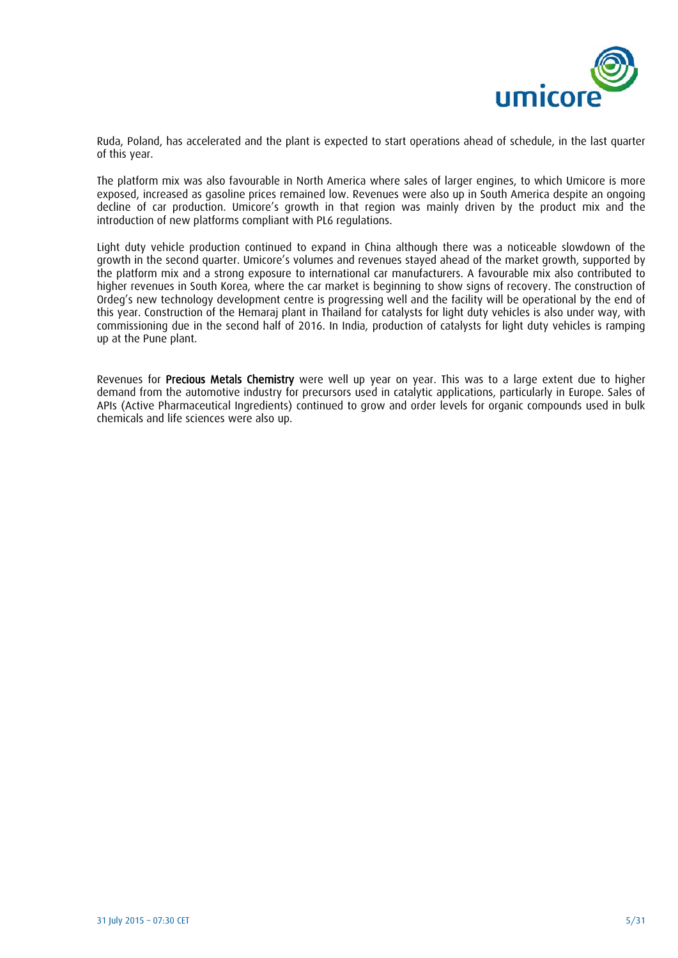

Ruda, Poland, has accelerated and the plant is expected to start operations ahead of schedule, in the last quarter of this year.

The platform mix was also favourable in North America where sales of larger engines, to which Umicore is more exposed, increased as gasoline prices remained low. Revenues were also up in South America despite an ongoing decline of car production. Umicore's growth in that region was mainly driven by the product mix and the introduction of new platforms compliant with PL6 regulations.

Light duty vehicle production continued to expand in China although there was a noticeable slowdown of the growth in the second quarter. Umicore's volumes and revenues stayed ahead of the market growth, supported by the platform mix and a strong exposure to international car manufacturers. A favourable mix also contributed to higher revenues in South Korea, where the car market is beginning to show signs of recovery. The construction of Ordeg's new technology development centre is progressing well and the facility will be operational by the end of this year. Construction of the Hemaraj plant in Thailand for catalysts for light duty vehicles is also under way, with commissioning due in the second half of 2016. In India, production of catalysts for light duty vehicles is ramping up at the Pune plant.

Revenues for Precious Metals Chemistry were well up year on year. This was to a large extent due to higher demand from the automotive industry for precursors used in catalytic applications, particularly in Europe. Sales of APIs (Active Pharmaceutical Ingredients) continued to grow and order levels for organic compounds used in bulk chemicals and life sciences were also up.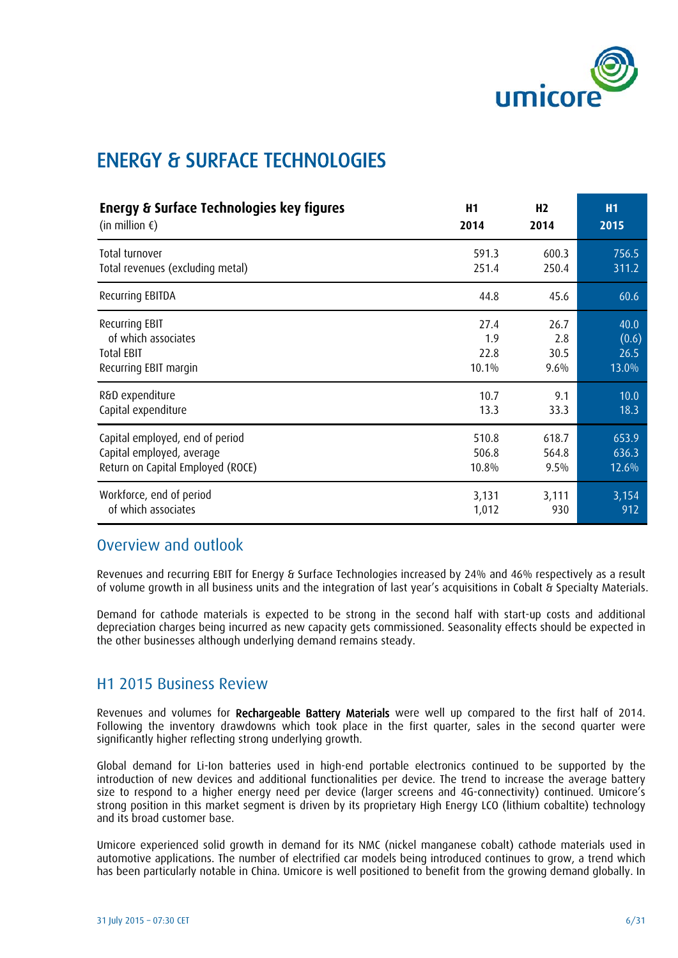

## ENERGY & SURFACE TECHNOLOGIES

| Energy & Surface Technologies key figures | H1    | H <sub>2</sub> | <b>H1</b> |
|-------------------------------------------|-------|----------------|-----------|
| (in million $\epsilon$ )                  | 2014  | 2014           | 2015      |
| Total turnover                            | 591.3 | 600.3          | 756.5     |
| Total revenues (excluding metal)          | 251.4 | 250.4          | 311.2     |
| Recurring EBITDA                          | 44.8  | 45.6           | 60.6      |
| Recurring EBIT                            | 27.4  | 26.7           | 40.0      |
| of which associates                       | 1.9   | 2.8            | (0.6)     |
| <b>Total EBIT</b>                         | 22.8  | 30.5           | 26.5      |
| Recurring EBIT margin                     | 10.1% | 9.6%           | 13.0%     |
| R&D expenditure                           | 10.7  | 9.1            | 10.0      |
| Capital expenditure                       | 13.3  | 33.3           | 18.3      |
| Capital employed, end of period           | 510.8 | 618.7          | 653.9     |
| Capital employed, average                 | 506.8 | 564.8          | 636.3     |
| Return on Capital Employed (ROCE)         | 10.8% | 9.5%           | 12.6%     |
| Workforce, end of period                  | 3,131 | 3,111          | 3,154     |
| of which associates                       | 1,012 | 930            | 912       |

## Overview and outlook

Revenues and recurring EBIT for Energy & Surface Technologies increased by 24% and 46% respectively as a result of volume growth in all business units and the integration of last year's acquisitions in Cobalt & Specialty Materials.

Demand for cathode materials is expected to be strong in the second half with start-up costs and additional depreciation charges being incurred as new capacity gets commissioned. Seasonality effects should be expected in the other businesses although underlying demand remains steady.

### H1 2015 Business Review

Revenues and volumes for Rechargeable Battery Materials were well up compared to the first half of 2014. Following the inventory drawdowns which took place in the first quarter, sales in the second quarter were significantly higher reflecting strong underlying growth.

Global demand for Li-Ion batteries used in high-end portable electronics continued to be supported by the introduction of new devices and additional functionalities per device. The trend to increase the average battery size to respond to a higher energy need per device (larger screens and 4G-connectivity) continued. Umicore's strong position in this market segment is driven by its proprietary High Energy LCO (lithium cobaltite) technology and its broad customer base.

Umicore experienced solid growth in demand for its NMC (nickel manganese cobalt) cathode materials used in automotive applications. The number of electrified car models being introduced continues to grow, a trend which has been particularly notable in China. Umicore is well positioned to benefit from the growing demand globally. In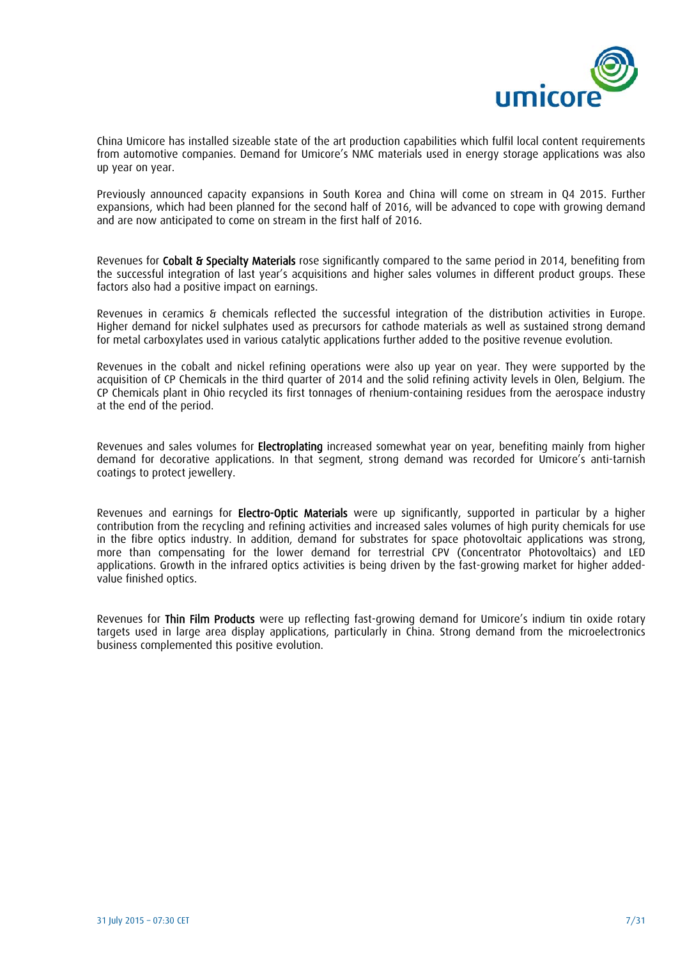

China Umicore has installed sizeable state of the art production capabilities which fulfil local content requirements from automotive companies. Demand for Umicore's NMC materials used in energy storage applications was also up year on year.

Previously announced capacity expansions in South Korea and China will come on stream in Q4 2015. Further expansions, which had been planned for the second half of 2016, will be advanced to cope with growing demand and are now anticipated to come on stream in the first half of 2016.

Revenues for Cobalt & Specialty Materials rose significantly compared to the same period in 2014, benefiting from the successful integration of last year's acquisitions and higher sales volumes in different product groups. These factors also had a positive impact on earnings.

Revenues in ceramics & chemicals reflected the successful integration of the distribution activities in Europe. Higher demand for nickel sulphates used as precursors for cathode materials as well as sustained strong demand for metal carboxylates used in various catalytic applications further added to the positive revenue evolution.

Revenues in the cobalt and nickel refining operations were also up year on year. They were supported by the acquisition of CP Chemicals in the third quarter of 2014 and the solid refining activity levels in Olen, Belgium. The CP Chemicals plant in Ohio recycled its first tonnages of rhenium-containing residues from the aerospace industry at the end of the period.

Revenues and sales volumes for Electroplating increased somewhat year on year, benefiting mainly from higher demand for decorative applications. In that segment, strong demand was recorded for Umicore's anti-tarnish coatings to protect jewellery.

Revenues and earnings for Electro-Optic Materials were up significantly, supported in particular by a higher contribution from the recycling and refining activities and increased sales volumes of high purity chemicals for use in the fibre optics industry. In addition, demand for substrates for space photovoltaic applications was strong, more than compensating for the lower demand for terrestrial CPV (Concentrator Photovoltaics) and LED applications. Growth in the infrared optics activities is being driven by the fast-growing market for higher addedvalue finished optics.

Revenues for Thin Film Products were up reflecting fast-growing demand for Umicore's indium tin oxide rotary targets used in large area display applications, particularly in China. Strong demand from the microelectronics business complemented this positive evolution.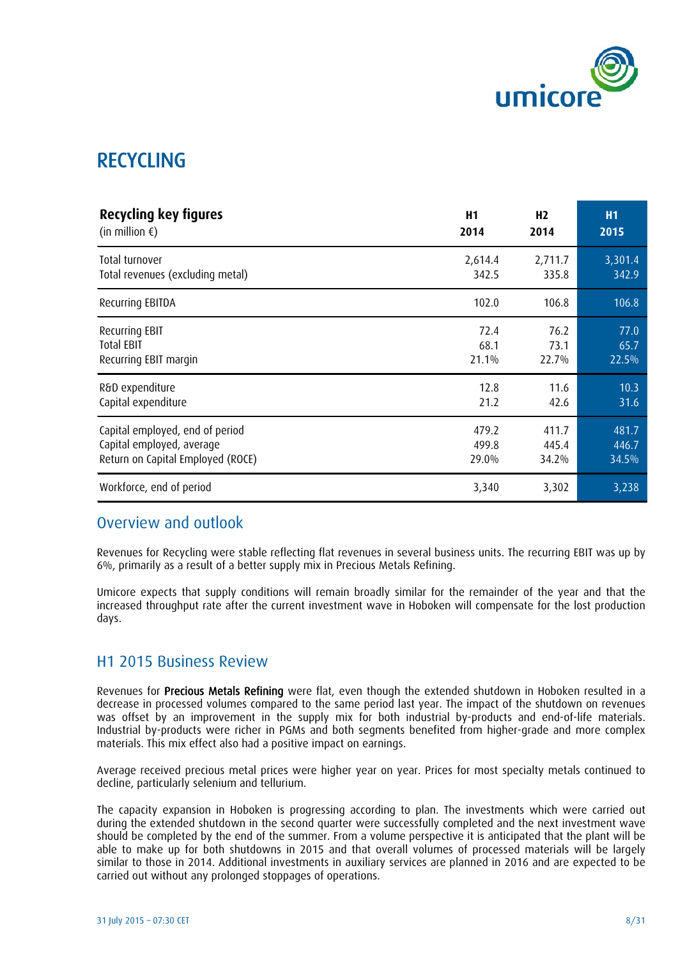

## RECYCLING

| Recycling key figures             | H <sub>1</sub> | H <sub>2</sub> | <b>H1</b> |
|-----------------------------------|----------------|----------------|-----------|
| (in million $\epsilon$ )          | 2014           | 2014           | 2015      |
| Total turnover                    | 2,614.4        | 2,711.7        | 3,301.4   |
| Total revenues (excluding metal)  | 342.5          | 335.8          | 342.9     |
| Recurring EBITDA                  | 102.0          | 106.8          | 106.8     |
| <b>Recurring EBIT</b>             | 72.4           | 76.2           | 77.0      |
| <b>Total EBIT</b>                 | 68.1           | 73.1           | 65.7      |
| Recurring EBIT margin             | 21.1%          | 22.7%          | 22.5%     |
| R&D expenditure                   | 12.8           | 11.6           | 10.3      |
| Capital expenditure               | 21.2           | 42.6           | 31.6      |
| Capital employed, end of period   | 479.2          | 411.7          | 481.7     |
| Capital employed, average         | 499.8          | 445.4          | 446.7     |
| Return on Capital Employed (ROCE) | 29.0%          | 34.2%          | 34.5%     |
| Workforce, end of period          | 3,340          | 3,302          | 3,238     |

### Overview and outlook

Revenues for Recycling were stable reflecting flat revenues in several business units. The recurring EBIT was up by 6%, primarily as a result of a better supply mix in Precious Metals Refining.

Umicore expects that supply conditions will remain broadly similar for the remainder of the year and that the increased throughput rate after the current investment wave in Hoboken will compensate for the lost production days.

### H1 2015 Business Review

Revenues for Precious Metals Refining were flat, even though the extended shutdown in Hoboken resulted in a decrease in processed volumes compared to the same period last year. The impact of the shutdown on revenues was offset by an improvement in the supply mix for both industrial by-products and end-of-life materials. Industrial by-products were richer in PGMs and both segments benefited from higher-grade and more complex materials. This mix effect also had a positive impact on earnings.

Average received precious metal prices were higher year on year. Prices for most specialty metals continued to decline, particularly selenium and tellurium.

The capacity expansion in Hoboken is progressing according to plan. The investments which were carried out during the extended shutdown in the second quarter were successfully completed and the next investment wave should be completed by the end of the summer. From a volume perspective it is anticipated that the plant will be able to make up for both shutdowns in 2015 and that overall volumes of processed materials will be largely similar to those in 2014. Additional investments in auxiliary services are planned in 2016 and are expected to be carried out without any prolonged stoppages of operations.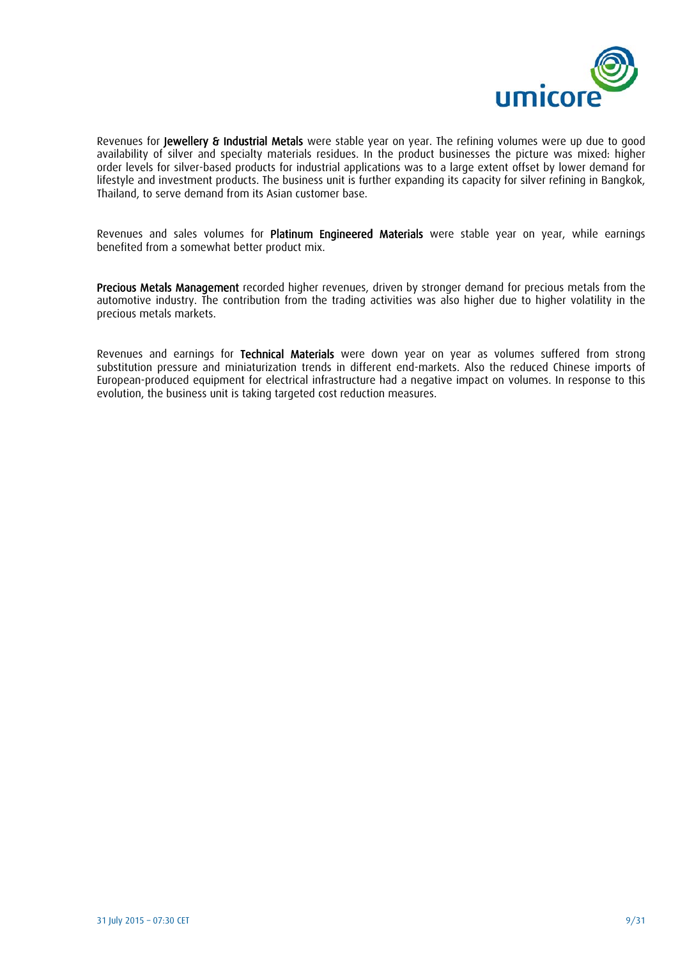

Revenues for Jewellery & Industrial Metals were stable year on year. The refining volumes were up due to good availability of silver and specialty materials residues. In the product businesses the picture was mixed: higher order levels for silver-based products for industrial applications was to a large extent offset by lower demand for lifestyle and investment products. The business unit is further expanding its capacity for silver refining in Bangkok, Thailand, to serve demand from its Asian customer base.

Revenues and sales volumes for Platinum Engineered Materials were stable year on year, while earnings benefited from a somewhat better product mix.

Precious Metals Management recorded higher revenues, driven by stronger demand for precious metals from the automotive industry. The contribution from the trading activities was also higher due to higher volatility in the precious metals markets.

Revenues and earnings for Technical Materials were down year on year as volumes suffered from strong substitution pressure and miniaturization trends in different end-markets. Also the reduced Chinese imports of European-produced equipment for electrical infrastructure had a negative impact on volumes. In response to this evolution, the business unit is taking targeted cost reduction measures.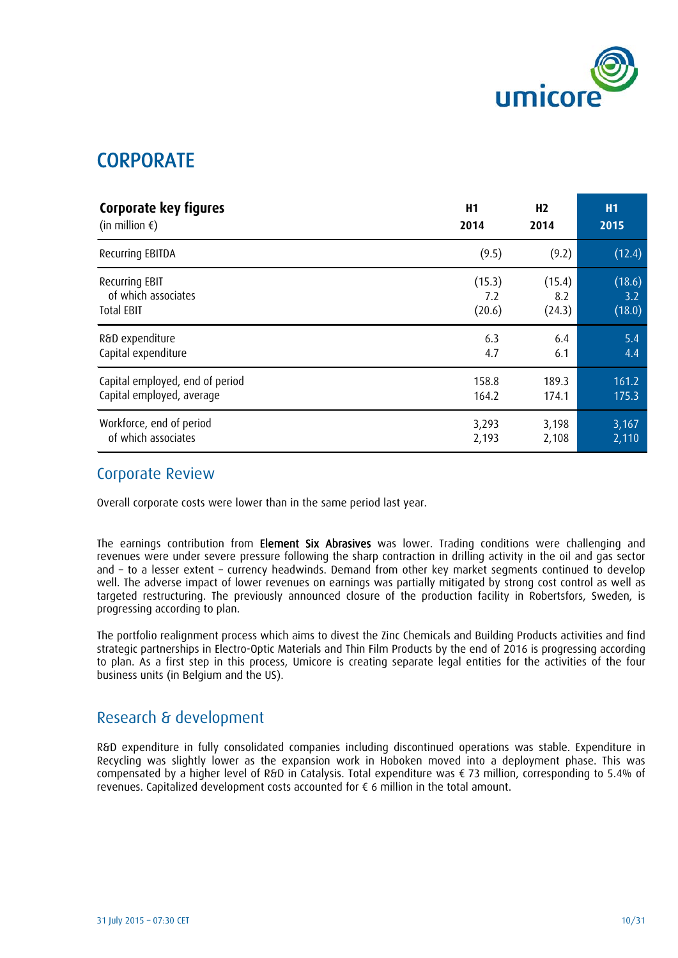

## **CORPORATE**

| Corporate key figures           | H1     | H <sub>2</sub> | <b>H1</b> |
|---------------------------------|--------|----------------|-----------|
| (in million $\epsilon$ )        | 2014   | 2014           | 2015      |
| Recurring EBITDA                | (9.5)  | (9.2)          | (12.4)    |
| Recurring EBIT                  | (15.3) | (15.4)         | (18.6)    |
| of which associates             | 7.2    | 8.2            | 3.2       |
| <b>Total EBIT</b>               | (20.6) | (24.3)         | (18.0)    |
| R&D expenditure                 | 6.3    | 6.4            | 5.4       |
| Capital expenditure             | 4.7    | 6.1            | 4.4       |
| Capital employed, end of period | 158.8  | 189.3          | 161.2     |
| Capital employed, average       | 164.2  | 174.1          | 175.3     |
| Workforce, end of period        | 3,293  | 3,198          | 3,167     |
| of which associates             | 2,193  | 2,108          | 2,110     |

### Corporate Review

Overall corporate costs were lower than in the same period last year.

The earnings contribution from Element Six Abrasives was lower. Trading conditions were challenging and revenues were under severe pressure following the sharp contraction in drilling activity in the oil and gas sector and – to a lesser extent – currency headwinds. Demand from other key market segments continued to develop well. The adverse impact of lower revenues on earnings was partially mitigated by strong cost control as well as targeted restructuring. The previously announced closure of the production facility in Robertsfors, Sweden, is progressing according to plan.

The portfolio realignment process which aims to divest the Zinc Chemicals and Building Products activities and find strategic partnerships in Electro-Optic Materials and Thin Film Products by the end of 2016 is progressing according to plan. As a first step in this process, Umicore is creating separate legal entities for the activities of the four business units (in Belgium and the US).

## Research & development

R&D expenditure in fully consolidated companies including discontinued operations was stable. Expenditure in Recycling was slightly lower as the expansion work in Hoboken moved into a deployment phase. This was compensated by a higher level of R&D in Catalysis. Total expenditure was € 73 million, corresponding to 5.4% of revenues. Capitalized development costs accounted for € 6 million in the total amount.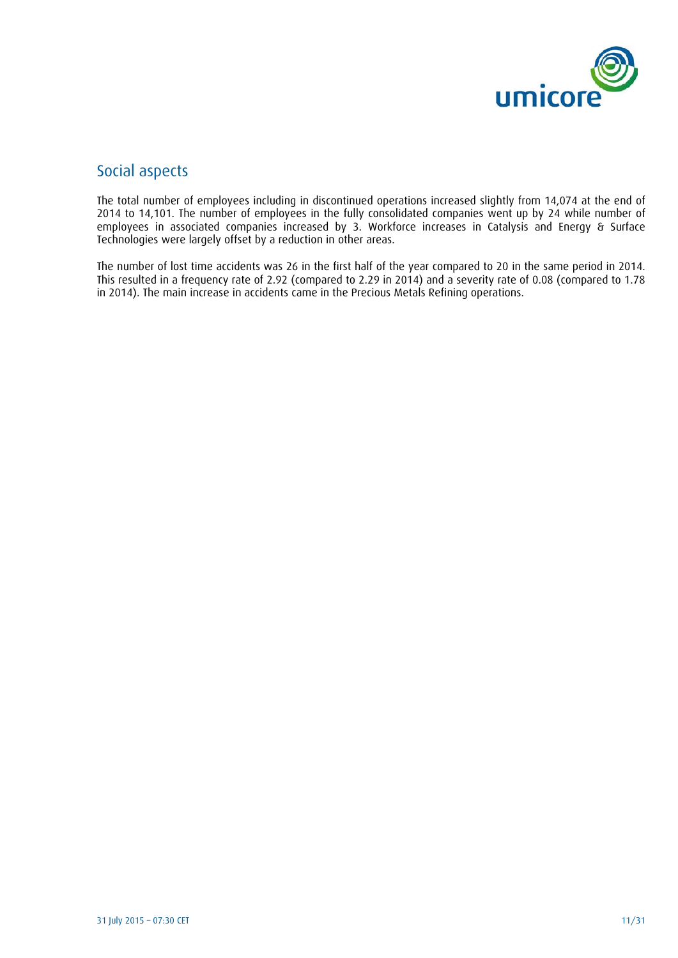

## Social aspects

The total number of employees including in discontinued operations increased slightly from 14,074 at the end of 2014 to 14,101. The number of employees in the fully consolidated companies went up by 24 while number of employees in associated companies increased by 3. Workforce increases in Catalysis and Energy & Surface Technologies were largely offset by a reduction in other areas.

The number of lost time accidents was 26 in the first half of the year compared to 20 in the same period in 2014. This resulted in a frequency rate of 2.92 (compared to 2.29 in 2014) and a severity rate of 0.08 (compared to 1.78 in 2014). The main increase in accidents came in the Precious Metals Refining operations.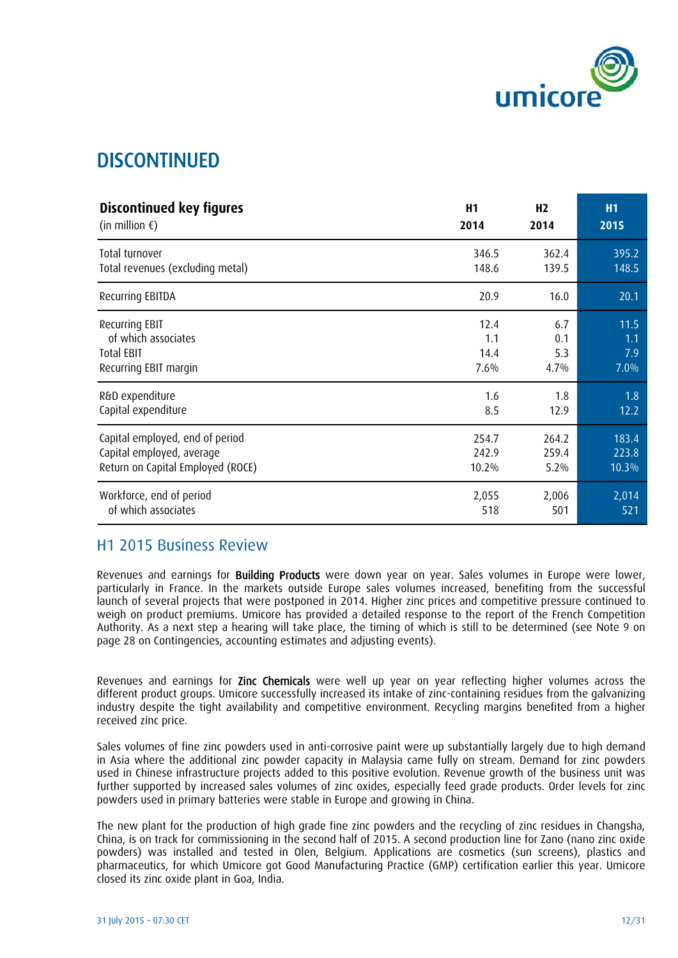

## DISCONTINUED

| <b>Discontinued key figures</b>   | H1    | H <sub>2</sub> | <b>H1</b> |
|-----------------------------------|-------|----------------|-----------|
| (in million $\epsilon$ )          | 2014  | 2014           | 2015      |
| Total turnover                    | 346.5 | 362.4          | 395.2     |
| Total revenues (excluding metal)  | 148.6 | 139.5          | 148.5     |
| Recurring EBITDA                  | 20.9  | 16.0           | 20.1      |
| <b>Recurring EBIT</b>             | 12.4  | 6.7            | 11.5      |
| of which associates               | 1.1   | 0.1            | 1.1       |
| <b>Total EBIT</b>                 | 14.4  | 5.3            | 7.9       |
| Recurring EBIT margin             | 7.6%  | 4.7%           | 7.0%      |
| R&D expenditure                   | 1.6   | 1.8            | 1.8       |
| Capital expenditure               | 8.5   | 12.9           | 12.2      |
| Capital employed, end of period   | 254.7 | 264.2          | 183.4     |
| Capital employed, average         | 242.9 | 259.4          | 223.8     |
| Return on Capital Employed (ROCE) | 10.2% | 5.2%           | 10.3%     |
| Workforce, end of period          | 2,055 | 2,006          | 2,014     |
| of which associates               | 518   | 501            | 521       |

### H1 2015 Business Review

Revenues and earnings for **Building Products** were down year on year. Sales volumes in Europe were lower, particularly in France. In the markets outside Europe sales volumes increased, benefiting from the successful launch of several projects that were postponed in 2014. Higher zinc prices and competitive pressure continued to weigh on product premiums. Umicore has provided a detailed response to the report of the French Competition Authority. As a next step a hearing will take place, the timing of which is still to be determined (see Note 9 on page 28 on Contingencies, accounting estimates and adjusting events).

Revenues and earnings for Zinc Chemicals were well up year on year reflecting higher volumes across the different product groups. Umicore successfully increased its intake of zinc-containing residues from the galvanizing industry despite the tight availability and competitive environment. Recycling margins benefited from a higher received zinc price.

Sales volumes of fine zinc powders used in anti-corrosive paint were up substantially largely due to high demand in Asia where the additional zinc powder capacity in Malaysia came fully on stream. Demand for zinc powders used in Chinese infrastructure projects added to this positive evolution. Revenue growth of the business unit was further supported by increased sales volumes of zinc oxides, especially feed grade products. Order levels for zinc powders used in primary batteries were stable in Europe and growing in China.

The new plant for the production of high grade fine zinc powders and the recycling of zinc residues in Changsha, China, is on track for commissioning in the second half of 2015. A second production line for Zano (nano zinc oxide powders) was installed and tested in Olen, Belgium. Applications are cosmetics (sun screens), plastics and pharmaceutics, for which Umicore got Good Manufacturing Practice (GMP) certification earlier this year. Umicore closed its zinc oxide plant in Goa, India.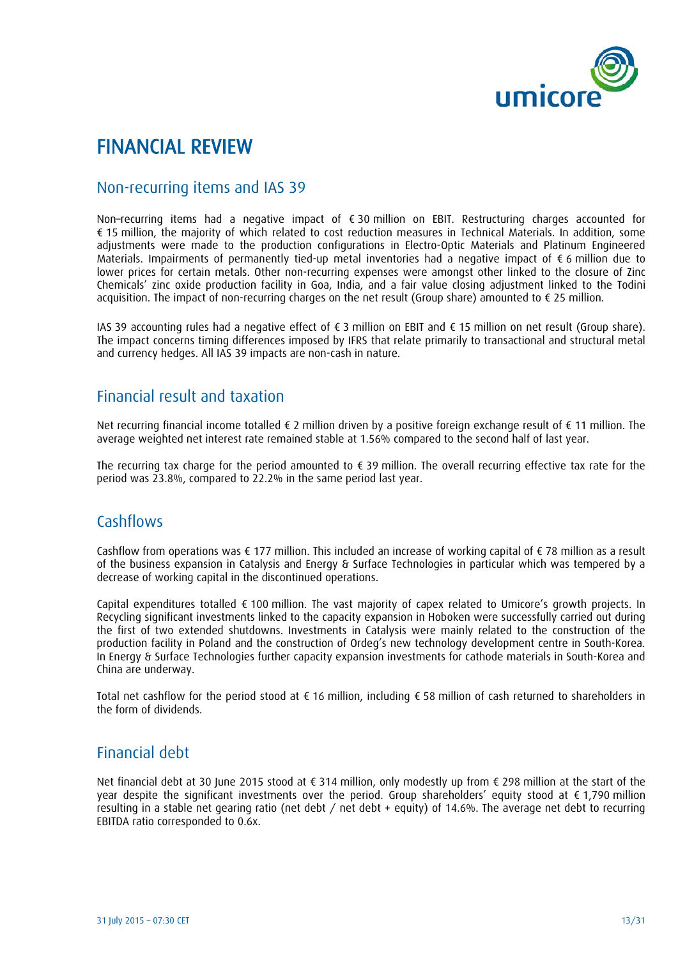

## FINANCIAL REVIEW

### Non-recurring items and IAS 39

Non–recurring items had a negative impact of € 30 million on EBIT. Restructuring charges accounted for € 15 million, the majority of which related to cost reduction measures in Technical Materials. In addition, some adjustments were made to the production configurations in Electro-Optic Materials and Platinum Engineered Materials. Impairments of permanently tied-up metal inventories had a negative impact of € 6 million due to lower prices for certain metals. Other non-recurring expenses were amongst other linked to the closure of Zinc Chemicals' zinc oxide production facility in Goa, India, and a fair value closing adjustment linked to the Todini acquisition. The impact of non-recurring charges on the net result (Group share) amounted to € 25 million.

IAS 39 accounting rules had a negative effect of € 3 million on EBIT and € 15 million on net result (Group share). The impact concerns timing differences imposed by IFRS that relate primarily to transactional and structural metal and currency hedges. All IAS 39 impacts are non-cash in nature.

## Financial result and taxation

Net recurring financial income totalled € 2 million driven by a positive foreign exchange result of € 11 million. The average weighted net interest rate remained stable at 1.56% compared to the second half of last year.

The recurring tax charge for the period amounted to € 39 million. The overall recurring effective tax rate for the period was 23.8%, compared to 22.2% in the same period last year.

### **Cashflows**

Cashflow from operations was € 177 million. This included an increase of working capital of € 78 million as a result of the business expansion in Catalysis and Energy & Surface Technologies in particular which was tempered by a decrease of working capital in the discontinued operations.

Capital expenditures totalled € 100 million. The vast majority of capex related to Umicore's growth projects. In Recycling significant investments linked to the capacity expansion in Hoboken were successfully carried out during the first of two extended shutdowns. Investments in Catalysis were mainly related to the construction of the production facility in Poland and the construction of Ordeg's new technology development centre in South-Korea. In Energy & Surface Technologies further capacity expansion investments for cathode materials in South-Korea and China are underway.

Total net cashflow for the period stood at € 16 million, including € 58 million of cash returned to shareholders in the form of dividends.

## Financial debt

Net financial debt at 30 June 2015 stood at € 314 million, only modestly up from € 298 million at the start of the year despite the significant investments over the period. Group shareholders' equity stood at  $\epsilon$  1,790 million resulting in a stable net gearing ratio (net debt / net debt + equity) of 14.6%. The average net debt to recurring EBITDA ratio corresponded to 0.6x.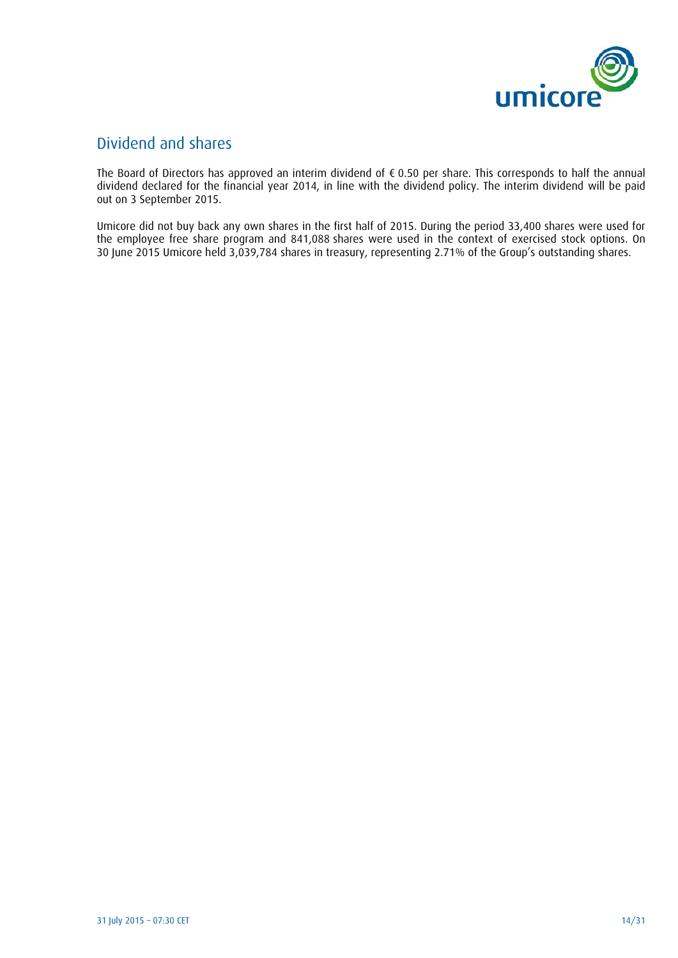

## Dividend and shares

The Board of Directors has approved an interim dividend of € 0.50 per share. This corresponds to half the annual dividend declared for the financial year 2014, in line with the dividend policy. The interim dividend will be paid out on 3 September 2015.

Umicore did not buy back any own shares in the first half of 2015. During the period 33,400 shares were used for the employee free share program and 841,088 shares were used in the context of exercised stock options. On 30 June 2015 Umicore held 3,039,784 shares in treasury, representing 2.71% of the Group's outstanding shares.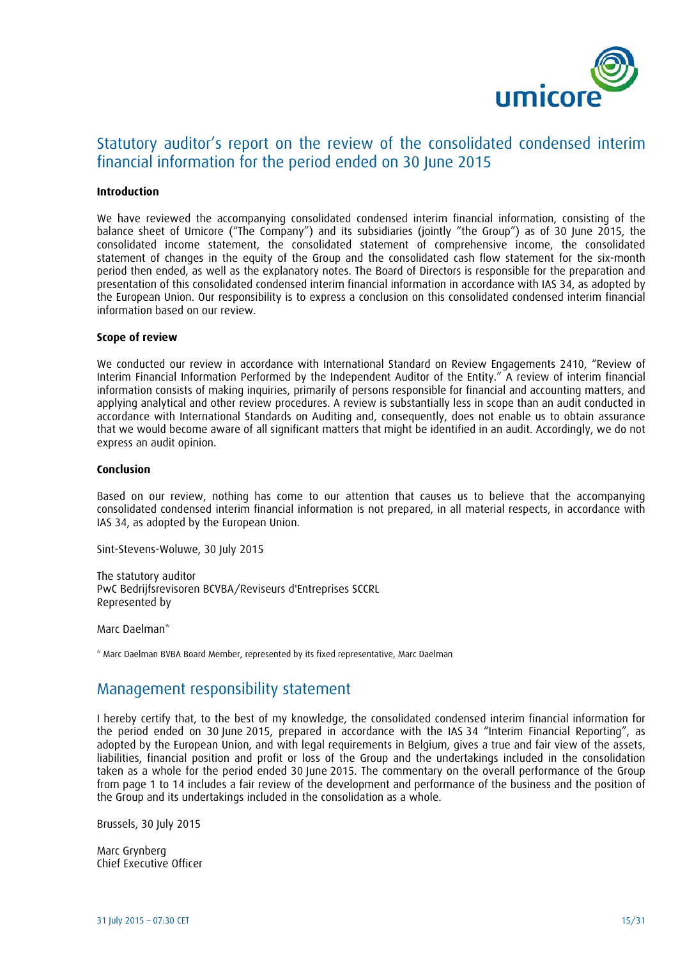

## Statutory auditor's report on the review of the consolidated condensed interim financial information for the period ended on 30 June 2015

#### **Introduction**

We have reviewed the accompanying consolidated condensed interim financial information, consisting of the balance sheet of Umicore ("The Company") and its subsidiaries (jointly "the Group") as of 30 June 2015, the consolidated income statement, the consolidated statement of comprehensive income, the consolidated statement of changes in the equity of the Group and the consolidated cash flow statement for the six-month period then ended, as well as the explanatory notes. The Board of Directors is responsible for the preparation and presentation of this consolidated condensed interim financial information in accordance with IAS 34, as adopted by the European Union. Our responsibility is to express a conclusion on this consolidated condensed interim financial information based on our review.

#### **Scope of review**

We conducted our review in accordance with International Standard on Review Engagements 2410, "Review of Interim Financial Information Performed by the Independent Auditor of the Entity." A review of interim financial information consists of making inquiries, primarily of persons responsible for financial and accounting matters, and applying analytical and other review procedures. A review is substantially less in scope than an audit conducted in accordance with International Standards on Auditing and, consequently, does not enable us to obtain assurance that we would become aware of all significant matters that might be identified in an audit. Accordingly, we do not express an audit opinion.

#### **Conclusion**

Based on our review, nothing has come to our attention that causes us to believe that the accompanying consolidated condensed interim financial information is not prepared, in all material respects, in accordance with IAS 34, as adopted by the European Union.

Sint-Stevens-Woluwe, 30 July 2015

The statutory auditor PwC Bedrijfsrevisoren BCVBA/Reviseurs d'Entreprises SCCRL Represented by

Marc Daelman\*

\* Marc Daelman BVBA Board Member, represented by its fixed representative, Marc Daelman

### Management responsibility statement

I hereby certify that, to the best of my knowledge, the consolidated condensed interim financial information for the period ended on 30 June 2015, prepared in accordance with the IAS 34 "Interim Financial Reporting", as adopted by the European Union, and with legal requirements in Belgium, gives a true and fair view of the assets, liabilities, financial position and profit or loss of the Group and the undertakings included in the consolidation taken as a whole for the period ended 30 June 2015. The commentary on the overall performance of the Group from page 1 to 14 includes a fair review of the development and performance of the business and the position of the Group and its undertakings included in the consolidation as a whole.

Brussels, 30 July 2015

Marc Grynberg Chief Executive Officer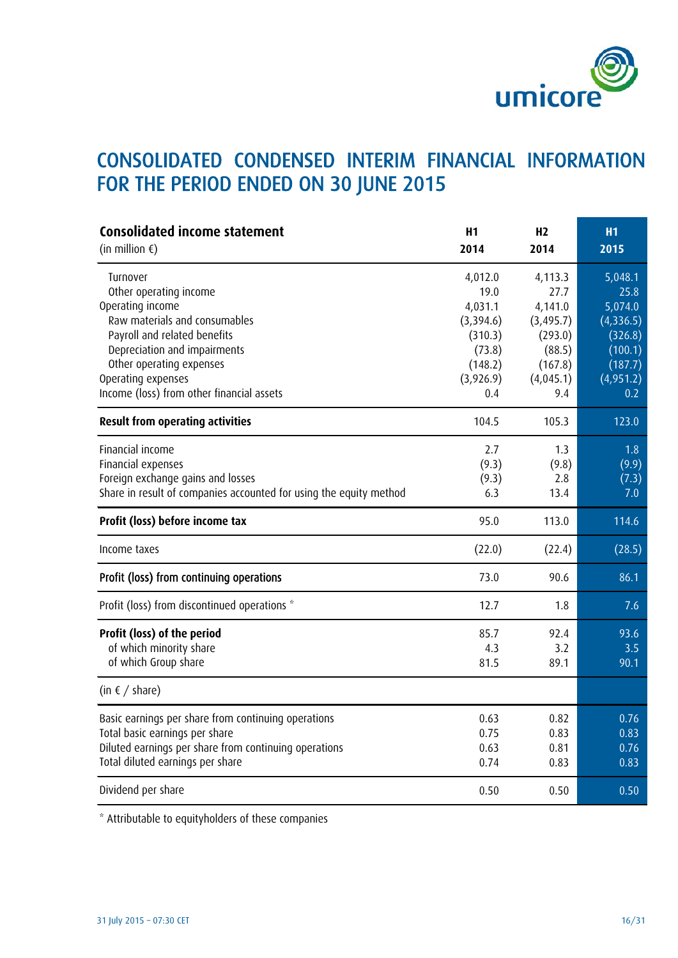

## CONSOLIDATED CONDENSED INTERIM FINANCIAL INFORMATION FOR THE PERIOD ENDED ON 30 JUNE 2015

| <b>Consolidated income statement</b><br>(in million $\epsilon$ )                                                                                                                                                                                       | H1<br>2014                                                                                  | H <sub>2</sub><br>2014                                                                       | <b>H1</b><br>2015                                                                            |
|--------------------------------------------------------------------------------------------------------------------------------------------------------------------------------------------------------------------------------------------------------|---------------------------------------------------------------------------------------------|----------------------------------------------------------------------------------------------|----------------------------------------------------------------------------------------------|
| Turnover<br>Other operating income<br>Operating income<br>Raw materials and consumables<br>Payroll and related benefits<br>Depreciation and impairments<br>Other operating expenses<br>Operating expenses<br>Income (loss) from other financial assets | 4,012.0<br>19.0<br>4,031.1<br>(3,394.6)<br>(310.3)<br>(73.8)<br>(148.2)<br>(3,926.9)<br>0.4 | 4,113.3<br>27.7<br>4,141.0<br>(3, 495.7)<br>(293.0)<br>(88.5)<br>(167.8)<br>(4,045.1)<br>9.4 | 5,048.1<br>25.8<br>5,074.0<br>(4,336.5)<br>(326.8)<br>(100.1)<br>(187.7)<br>(4,951.2)<br>0.2 |
| <b>Result from operating activities</b>                                                                                                                                                                                                                | 104.5                                                                                       | 105.3                                                                                        | 123.0                                                                                        |
| Financial income<br>Financial expenses<br>Foreign exchange gains and losses<br>Share in result of companies accounted for using the equity method                                                                                                      | 2.7<br>(9.3)<br>(9.3)<br>6.3                                                                | 1.3<br>(9.8)<br>2.8<br>13.4                                                                  | 1.8<br>(9.9)<br>(7.3)<br>7.0                                                                 |
| Profit (loss) before income tax                                                                                                                                                                                                                        | 95.0                                                                                        | 113.0                                                                                        | 114.6                                                                                        |
| Income taxes                                                                                                                                                                                                                                           | (22.0)                                                                                      | (22.4)                                                                                       | (28.5)                                                                                       |
| Profit (loss) from continuing operations                                                                                                                                                                                                               | 73.0                                                                                        | 90.6                                                                                         | 86.1                                                                                         |
| Profit (loss) from discontinued operations *                                                                                                                                                                                                           | 12.7                                                                                        | 1.8                                                                                          | 7.6                                                                                          |
| Profit (loss) of the period<br>of which minority share<br>of which Group share                                                                                                                                                                         | 85.7<br>4.3<br>81.5                                                                         | 92.4<br>3.2<br>89.1                                                                          | 93.6<br>3.5<br>90.1                                                                          |
| (in $\epsilon$ / share)                                                                                                                                                                                                                                |                                                                                             |                                                                                              |                                                                                              |
| Basic earnings per share from continuing operations<br>Total basic earnings per share<br>Diluted earnings per share from continuing operations<br>Total diluted earnings per share                                                                     | 0.63<br>0.75<br>0.63<br>0.74                                                                | 0.82<br>0.83<br>0.81<br>0.83                                                                 | 0.76<br>0.83<br>0.76<br>0.83                                                                 |
| Dividend per share                                                                                                                                                                                                                                     | 0.50                                                                                        | 0.50                                                                                         | 0.50                                                                                         |

\* Attributable to equityholders of these companies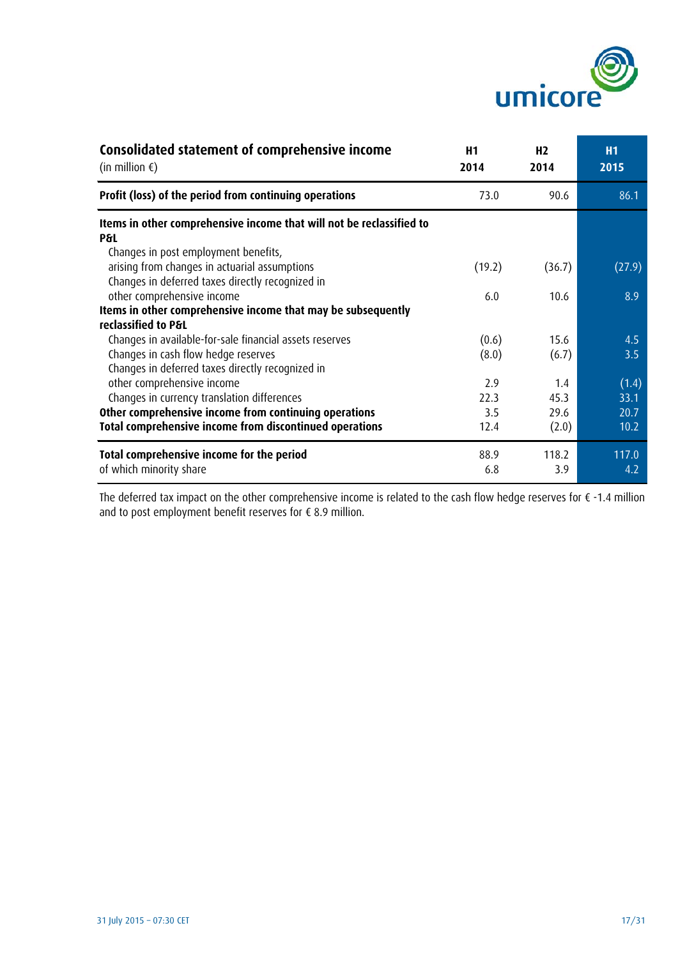

| Consolidated statement of comprehensive income<br>(in million $\epsilon$ )     | H1<br>2014 | H <sub>2</sub><br>2014 | <b>H1</b><br>2015 |
|--------------------------------------------------------------------------------|------------|------------------------|-------------------|
| Profit (loss) of the period from continuing operations                         | 73.0       | 90.6                   | 86.1              |
| Items in other comprehensive income that will not be reclassified to           |            |                        |                   |
| P&L                                                                            |            |                        |                   |
| Changes in post employment benefits,                                           |            |                        |                   |
| arising from changes in actuarial assumptions                                  | (19.2)     | (36.7)                 | (27.9)            |
| Changes in deferred taxes directly recognized in<br>other comprehensive income |            |                        | 8.9               |
| Items in other comprehensive income that may be subsequently                   | 6.0        | 10.6                   |                   |
| reclassified to P&L                                                            |            |                        |                   |
| Changes in available-for-sale financial assets reserves                        | (0.6)      | 15.6                   | 4.5               |
| Changes in cash flow hedge reserves                                            | (8.0)      | (6.7)                  | 3.5               |
| Changes in deferred taxes directly recognized in                               |            |                        |                   |
| other comprehensive income                                                     | 2.9        | 1.4                    | (1.4)             |
| Changes in currency translation differences                                    | 22.3       | 45.3                   | 33.1              |
| Other comprehensive income from continuing operations                          |            |                        |                   |
|                                                                                | 3.5        | 29.6                   | 20.7              |
| Total comprehensive income from discontinued operations                        | 12.4       | (2.0)                  | 10.2              |
| Total comprehensive income for the period                                      | 88.9       | 118.2                  | 117.0             |
| of which minority share                                                        | 6.8        | 3.9                    | 4.2               |

The deferred tax impact on the other comprehensive income is related to the cash flow hedge reserves for € -1.4 million and to post employment benefit reserves for € 8.9 million.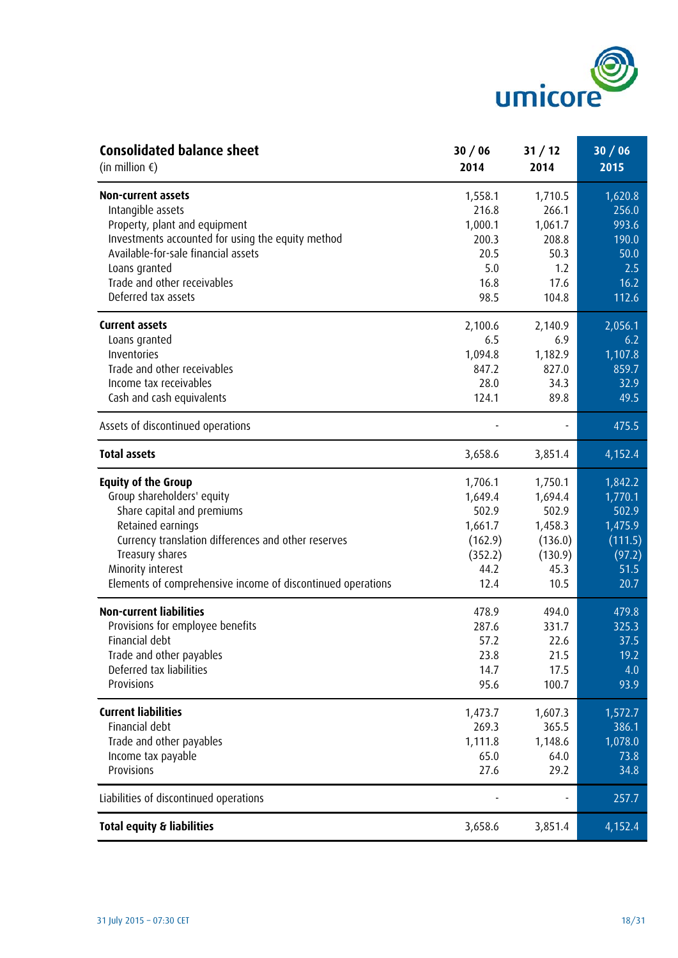

| <b>Consolidated balance sheet</b>                           | 30/06   | 31/12   | 30/06   |
|-------------------------------------------------------------|---------|---------|---------|
| (in million $\epsilon$ )                                    | 2014    | 2014    | 2015    |
| <b>Non-current assets</b>                                   | 1,558.1 | 1,710.5 | 1,620.8 |
| Intangible assets                                           | 216.8   | 266.1   | 256.0   |
| Property, plant and equipment                               | 1,000.1 | 1,061.7 | 993.6   |
| Investments accounted for using the equity method           | 200.3   | 208.8   | 190.0   |
| Available-for-sale financial assets                         | 20.5    | 50.3    | 50.0    |
| Loans granted                                               | 5.0     | 1.2     | 2.5     |
| Trade and other receivables                                 | 16.8    | 17.6    | 16.2    |
| Deferred tax assets                                         | 98.5    | 104.8   | 112.6   |
| <b>Current assets</b>                                       | 2,100.6 | 2,140.9 | 2,056.1 |
| Loans granted                                               | 6.5     | 6.9     | 6.2     |
| Inventories                                                 | 1,094.8 | 1,182.9 | 1,107.8 |
| Trade and other receivables                                 | 847.2   | 827.0   | 859.7   |
| Income tax receivables                                      | 28.0    | 34.3    | 32.9    |
| Cash and cash equivalents                                   | 124.1   | 89.8    | 49.5    |
| Assets of discontinued operations                           |         |         | 475.5   |
| <b>Total assets</b>                                         | 3,658.6 | 3,851.4 | 4,152.4 |
| <b>Equity of the Group</b>                                  | 1,706.1 | 1,750.1 | 1,842.2 |
| Group shareholders' equity                                  | 1,649.4 | 1,694.4 | 1,770.1 |
| Share capital and premiums                                  | 502.9   | 502.9   | 502.9   |
| Retained earnings                                           | 1,661.7 | 1,458.3 | 1,475.9 |
| Currency translation differences and other reserves         | (162.9) | (136.0) | (111.5) |
| Treasury shares                                             | (352.2) | (130.9) | (97.2)  |
| Minority interest                                           | 44.2    | 45.3    | 51.5    |
| Elements of comprehensive income of discontinued operations | 12.4    | 10.5    | 20.7    |
| <b>Non-current liabilities</b>                              | 478.9   | 494.0   | 479.8   |
| Provisions for employee benefits                            | 287.6   | 331.7   | 325.3   |
| Financial debt                                              | 57.2    | 22.6    | 37.5    |
| Trade and other payables                                    | 23.8    | 21.5    | 19.2    |
| Deferred tax liabilities                                    | 14.7    | 17.5    | 4.0     |
| Provisions                                                  | 95.6    | 100.7   | 93.9    |
| <b>Current liabilities</b>                                  | 1,473.7 | 1,607.3 | 1,572.7 |
| Financial debt                                              | 269.3   | 365.5   | 386.1   |
| Trade and other payables                                    | 1,111.8 | 1,148.6 | 1,078.0 |
| Income tax payable                                          | 65.0    | 64.0    | 73.8    |
| Provisions                                                  | 27.6    | 29.2    | 34.8    |
| Liabilities of discontinued operations                      |         |         | 257.7   |
| <b>Total equity &amp; liabilities</b>                       | 3,658.6 | 3,851.4 | 4,152.4 |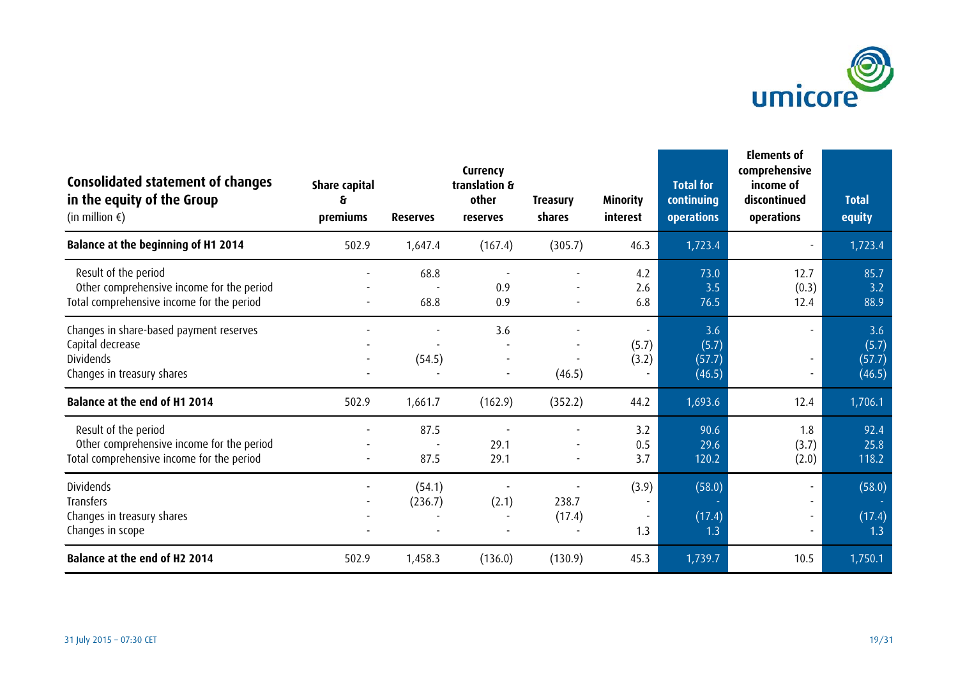

| Consolidated statement of changes<br>in the equity of the Group<br>(in million $\epsilon$ )                    | <b>Share capital</b><br>ક્ર<br>premiums | <b>Reserves</b>   | Currency<br>translation &<br>other<br><b>reserves</b> | <b>Treasury</b><br>shares | <b>Minority</b><br>interest      | <b>Total for</b><br>continuing<br><b>operations</b> | Elements of<br>comprehensive<br>income of<br>discontinued<br>operations | <b>Total</b><br>equity           |
|----------------------------------------------------------------------------------------------------------------|-----------------------------------------|-------------------|-------------------------------------------------------|---------------------------|----------------------------------|-----------------------------------------------------|-------------------------------------------------------------------------|----------------------------------|
| <b>Balance at the beginning of H1 2014</b>                                                                     | 502.9                                   | 1,647.4           | (167.4)                                               | (305.7)                   | 46.3                             | 1,723.4                                             |                                                                         | 1,723.4                          |
| Result of the period<br>Other comprehensive income for the period<br>Total comprehensive income for the period |                                         | 68.8<br>68.8      | 0.9<br>0.9                                            |                           | 4.2<br>2.6<br>6.8                | 73.0<br>3.5<br>76.5                                 | 12.7<br>(0.3)<br>12.4                                                   | 85.7<br>3.2<br>88.9              |
| Changes in share-based payment reserves<br>Capital decrease<br><b>Dividends</b><br>Changes in treasury shares  |                                         | (54.5)            | 3.6                                                   | (46.5)                    | $\blacksquare$<br>(5.7)<br>(3.2) | 3.6<br>(5.7)<br>(57.7)<br>(46.5)                    |                                                                         | 3.6<br>(5.7)<br>(57.7)<br>(46.5) |
| Balance at the end of H1 2014                                                                                  | 502.9                                   | 1,661.7           | (162.9)                                               | (352.2)                   | 44.2                             | 1,693.6                                             | 12.4                                                                    | 1,706.1                          |
| Result of the period<br>Other comprehensive income for the period<br>Total comprehensive income for the period |                                         | 87.5<br>87.5      | 29.1<br>29.1                                          |                           | 3.2<br>0.5<br>3.7                | 90.6<br>29.6<br>120.2                               | 1.8<br>(3.7)<br>(2.0)                                                   | 92.4<br>25.8<br>118.2            |
| <b>Dividends</b><br>Transfers<br>Changes in treasury shares<br>Changes in scope                                |                                         | (54.1)<br>(236.7) | (2.1)                                                 | 238.7<br>(17.4)           | (3.9)<br>1.3                     | (58.0)<br>(17.4)<br>1.3                             |                                                                         | (58.0)<br>(17.4)<br>1.3          |
| Balance at the end of H2 2014                                                                                  | 502.9                                   | 1,458.3           | (136.0)                                               | (130.9)                   | 45.3                             | 1,739.7                                             | 10.5                                                                    | 1,750.1                          |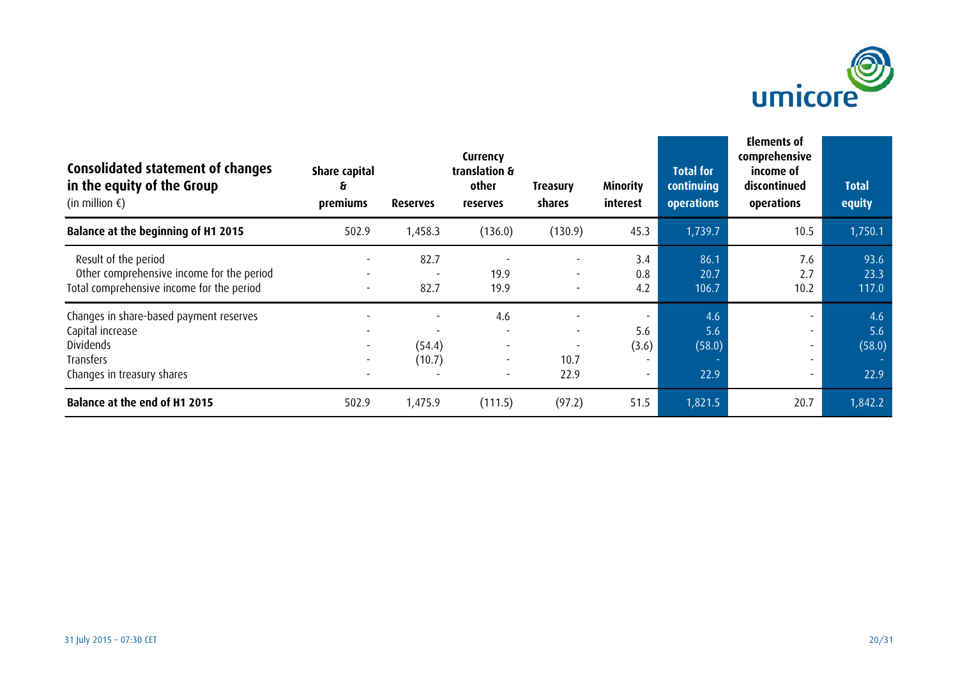

| <b>Consolidated statement of changes</b><br>in the equity of the Group<br>(in million $\epsilon$ )                  | <b>Share capital</b><br>ક<br>premiums                | <b>Reserves</b>  | Currency<br>translation &<br>other<br><b>reserves</b>       | <b>Treasury</b><br>shares                | <b>Minority</b><br>interest | <b>Total for</b><br>continuing<br>operations | Elements of<br>comprehensive<br>income of<br>discontinued<br>operations                                      | <b>Total</b><br>equity       |
|---------------------------------------------------------------------------------------------------------------------|------------------------------------------------------|------------------|-------------------------------------------------------------|------------------------------------------|-----------------------------|----------------------------------------------|--------------------------------------------------------------------------------------------------------------|------------------------------|
| <b>Balance at the beginning of H1 2015</b>                                                                          | 502.9                                                | 1,458.3          | (136.0)                                                     | (130.9)                                  | 45.3                        | 1,739.7                                      | 10.5                                                                                                         | 1,750.1                      |
| Result of the period<br>Other comprehensive income for the period<br>Total comprehensive income for the period      | $\overline{\phantom{a}}$                             | 82.7<br>82.7     | 19.9<br>19.9                                                | $\overline{\phantom{a}}$                 | 3.4<br>0.8<br>4.2           | 86.1<br>20.7<br>106.7                        | 7.6<br>2.7<br>10.2                                                                                           | 93.6<br>23.3<br>117.0        |
| Changes in share-based payment reserves<br>Capital increase<br>Dividends<br>Transfers<br>Changes in treasury shares | $\overline{\phantom{a}}$<br>$\overline{\phantom{a}}$ | (54.4)<br>(10.7) | 4.6<br>$\overline{\phantom{a}}$<br>$\overline{\phantom{a}}$ | $\overline{\phantom{a}}$<br>10.7<br>22.9 | 5.6<br>(3.6)                | 4.6<br>5.6<br>(58.0)<br>22.9                 | $\overline{\phantom{0}}$<br>$\overline{\phantom{a}}$<br>$\overline{\phantom{a}}$<br>$\overline{\phantom{a}}$ | 4.6<br>5.6<br>(58.0)<br>22.9 |
| <b>Balance at the end of H1 2015</b>                                                                                | 502.9                                                | 1,475.9          | (111.5)                                                     | (97.2)                                   | 51.5                        | 1,821.5                                      | 20.7                                                                                                         | 1,842.2                      |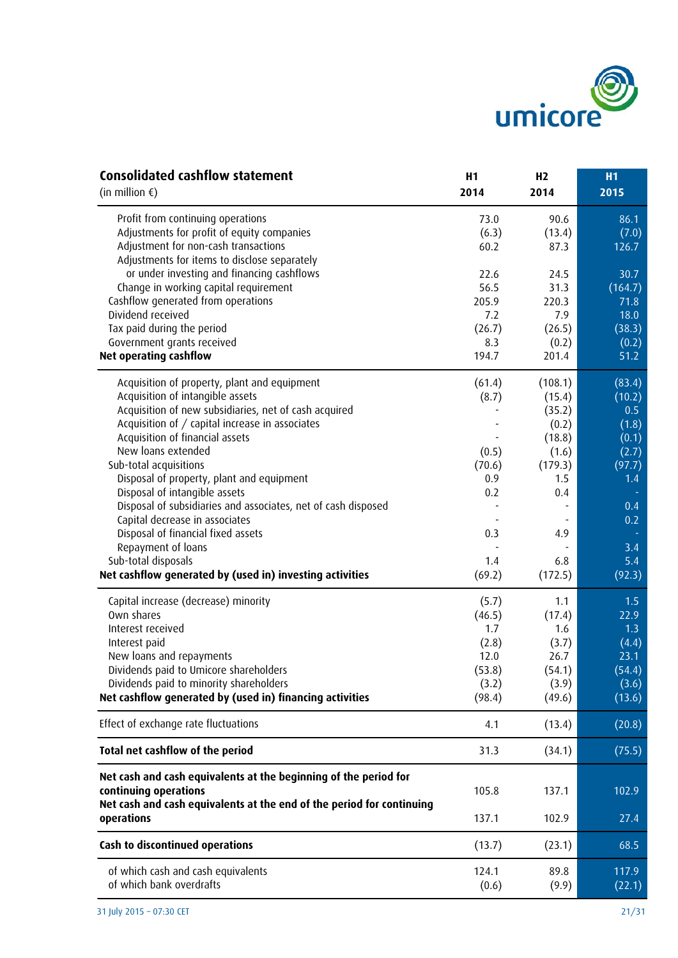

| <b>Consolidated cashflow statement</b>                                                                                                                             | H1            | H <sub>2</sub> | H <sub>1</sub> |
|--------------------------------------------------------------------------------------------------------------------------------------------------------------------|---------------|----------------|----------------|
| (in million $\xi$ )                                                                                                                                                | 2014          | 2014           | 2015           |
| Profit from continuing operations                                                                                                                                  | 73.0          | 90.6           | 86.1           |
| Adjustments for profit of equity companies                                                                                                                         | (6.3)         | (13.4)         | (7.0)          |
| Adjustment for non-cash transactions                                                                                                                               | 60.2          | 87.3           | 126.7          |
| Adjustments for items to disclose separately                                                                                                                       |               |                |                |
| or under investing and financing cashflows                                                                                                                         | 22.6          | 24.5           | 30.7           |
| Change in working capital requirement                                                                                                                              | 56.5          | 31.3           | (164.7)        |
| Cashflow generated from operations                                                                                                                                 | 205.9         | 220.3          | 71.8           |
| Dividend received                                                                                                                                                  | 7.2           | 7.9            | 18.0           |
| Tax paid during the period                                                                                                                                         | (26.7)        | (26.5)         | (38.3)         |
| Government grants received                                                                                                                                         | 8.3           | (0.2)          | (0.2)          |
| <b>Net operating cashflow</b>                                                                                                                                      | 194.7         | 201.4          | 51.2           |
| Acquisition of property, plant and equipment                                                                                                                       | (61.4)        | (108.1)        | (83.4)         |
| Acquisition of intangible assets                                                                                                                                   | (8.7)         | (15.4)         | (10.2)         |
| Acquisition of new subsidiaries, net of cash acquired                                                                                                              |               | (35.2)         | 0.5            |
| Acquisition of / capital increase in associates                                                                                                                    |               | (0.2)          | (1.8)          |
| Acquisition of financial assets                                                                                                                                    |               | (18.8)         | (0.1)          |
| New loans extended                                                                                                                                                 | (0.5)         | (1.6)          | (2.7)          |
| Sub-total acquisitions                                                                                                                                             | (70.6)        | (179.3)        | (97.7)         |
| Disposal of property, plant and equipment                                                                                                                          | 0.9           | 1.5            | 1.4            |
| Disposal of intangible assets                                                                                                                                      | 0.2           | 0.4            |                |
| Disposal of subsidiaries and associates, net of cash disposed                                                                                                      |               |                | 0.4            |
| Capital decrease in associates                                                                                                                                     |               |                | 0.2            |
| Disposal of financial fixed assets                                                                                                                                 | 0.3           | 4.9            |                |
| Repayment of loans                                                                                                                                                 |               |                | 3.4            |
| Sub-total disposals<br>Net cashflow generated by (used in) investing activities                                                                                    | 1.4<br>(69.2) | 6.8<br>(172.5) | 5.4<br>(92.3)  |
|                                                                                                                                                                    |               |                |                |
| Capital increase (decrease) minority                                                                                                                               | (5.7)         | 1.1            | 1.5            |
| Own shares                                                                                                                                                         | (46.5)        | (17.4)         | 22.9           |
| Interest received                                                                                                                                                  | 1.7           | 1.6            | 1.3            |
| Interest paid                                                                                                                                                      | (2.8)         | (3.7)          | (4.4)          |
| New loans and repayments                                                                                                                                           | 12.0          | 26.7           | 23.1           |
| Dividends paid to Umicore shareholders                                                                                                                             | (53.8)        | (54.1)         | (54.4)         |
| Dividends paid to minority shareholders                                                                                                                            | (3.2)         | (3.9)          | (3.6)          |
| Net cashflow generated by (used in) financing activities                                                                                                           | (98.4)        | (49.6)         | (13.6)         |
| Effect of exchange rate fluctuations                                                                                                                               | 4.1           | (13.4)         | (20.8)         |
| Total net cashflow of the period                                                                                                                                   | 31.3          | (34.1)         | (75.5)         |
| Net cash and cash equivalents at the beginning of the period for<br>continuing operations<br>Net cash and cash equivalents at the end of the period for continuing | 105.8         | 137.1          | 102.9          |
| operations                                                                                                                                                         | 137.1         | 102.9          | 27.4           |
| Cash to discontinued operations                                                                                                                                    | (13.7)        | (23.1)         | 68.5           |
| of which cash and cash equivalents                                                                                                                                 | 124.1         | 89.8           | 117.9          |
| of which bank overdrafts                                                                                                                                           | (0.6)         | (9.9)          | (22.1)         |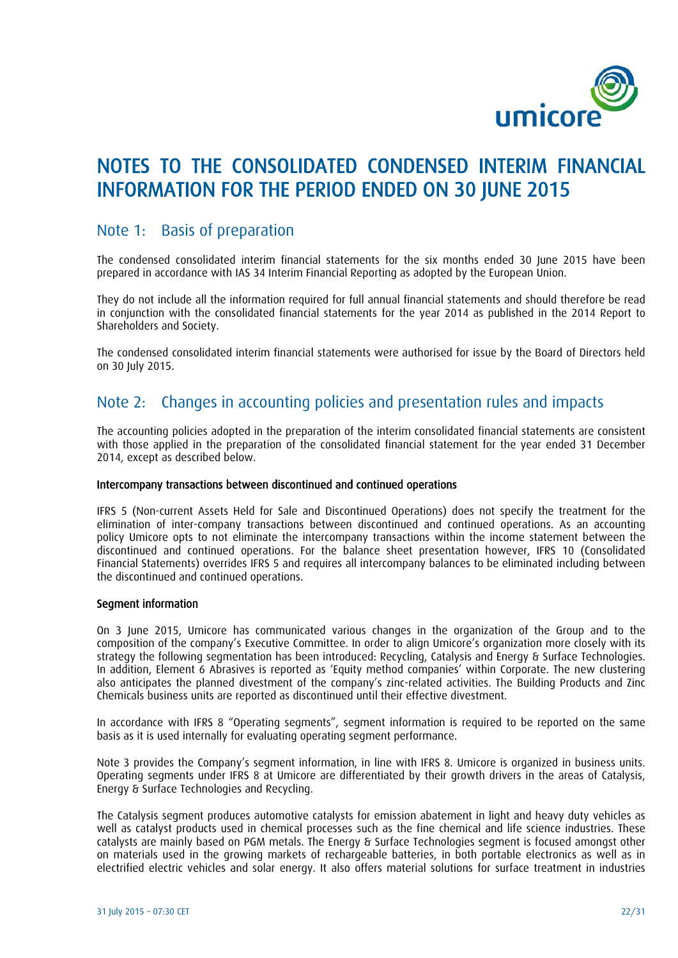

## NOTES TO THE CONSOLIDATED CONDENSED INTERIM FINANCIAL INFORMATION FOR THE PERIOD ENDED ON 30 JUNE 2015

## Note 1: Basis of preparation

The condensed consolidated interim financial statements for the six months ended 30 June 2015 have been prepared in accordance with IAS 34 Interim Financial Reporting as adopted by the European Union.

They do not include all the information required for full annual financial statements and should therefore be read in conjunction with the consolidated financial statements for the year 2014 as published in the 2014 Report to Shareholders and Society.

The condensed consolidated interim financial statements were authorised for issue by the Board of Directors held on 30 July 2015.

## Note 2: Changes in accounting policies and presentation rules and impacts

The accounting policies adopted in the preparation of the interim consolidated financial statements are consistent with those applied in the preparation of the consolidated financial statement for the year ended 31 December 2014, except as described below.

#### Intercompany transactions between discontinued and continued operations

IFRS 5 (Non-current Assets Held for Sale and Discontinued Operations) does not specify the treatment for the elimination of inter-company transactions between discontinued and continued operations. As an accounting policy Umicore opts to not eliminate the intercompany transactions within the income statement between the discontinued and continued operations. For the balance sheet presentation however, IFRS 10 (Consolidated Financial Statements) overrides IFRS 5 and requires all intercompany balances to be eliminated including between the discontinued and continued operations.

#### Segment information

On 3 June 2015, Umicore has communicated various changes in the organization of the Group and to the composition of the company's Executive Committee. In order to align Umicore's organization more closely with its strategy the following segmentation has been introduced: Recycling, Catalysis and Energy & Surface Technologies. In addition, Element 6 Abrasives is reported as 'Equity method companies' within Corporate. The new clustering also anticipates the planned divestment of the company's zinc-related activities. The Building Products and Zinc Chemicals business units are reported as discontinued until their effective divestment.

In accordance with IFRS 8 "Operating segments", segment information is required to be reported on the same basis as it is used internally for evaluating operating segment performance.

Note 3 provides the Company's segment information, in line with IFRS 8. Umicore is organized in business units. Operating segments under IFRS 8 at Umicore are differentiated by their growth drivers in the areas of Catalysis, Energy & Surface Technologies and Recycling.

The Catalysis segment produces automotive catalysts for emission abatement in light and heavy duty vehicles as well as catalyst products used in chemical processes such as the fine chemical and life science industries. These catalysts are mainly based on PGM metals. The Energy & Surface Technologies segment is focused amongst other on materials used in the growing markets of rechargeable batteries, in both portable electronics as well as in electrified electric vehicles and solar energy. It also offers material solutions for surface treatment in industries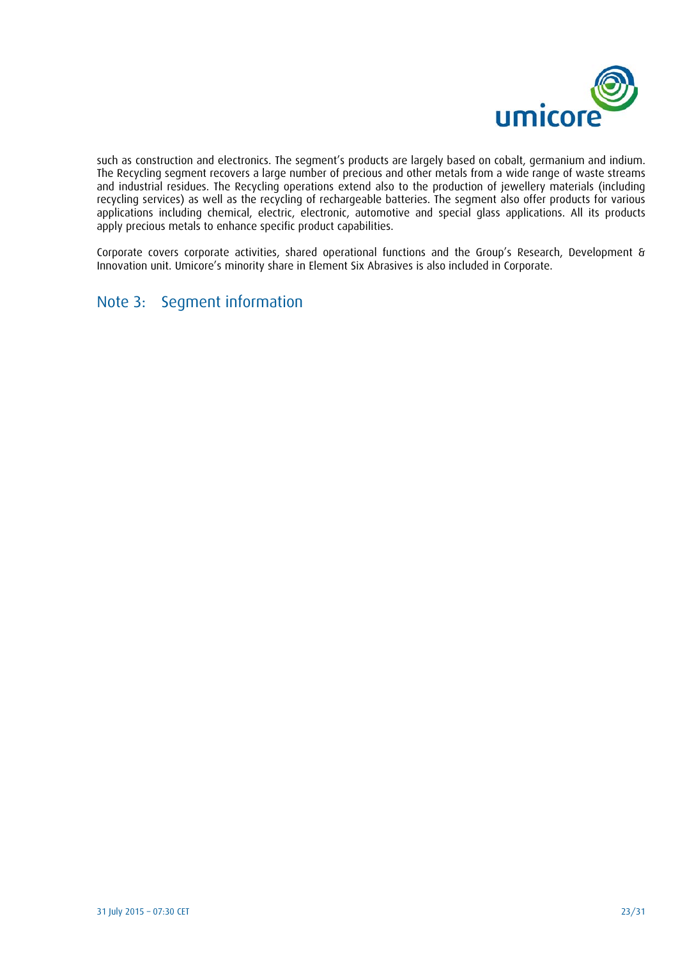

such as construction and electronics. The segment's products are largely based on cobalt, germanium and indium. The Recycling segment recovers a large number of precious and other metals from a wide range of waste streams and industrial residues. The Recycling operations extend also to the production of jewellery materials (including recycling services) as well as the recycling of rechargeable batteries. The segment also offer products for various applications including chemical, electric, electronic, automotive and special glass applications. All its products apply precious metals to enhance specific product capabilities.

Corporate covers corporate activities, shared operational functions and the Group's Research, Development & Innovation unit. Umicore's minority share in Element Six Abrasives is also included in Corporate.

## Note 3: Segment information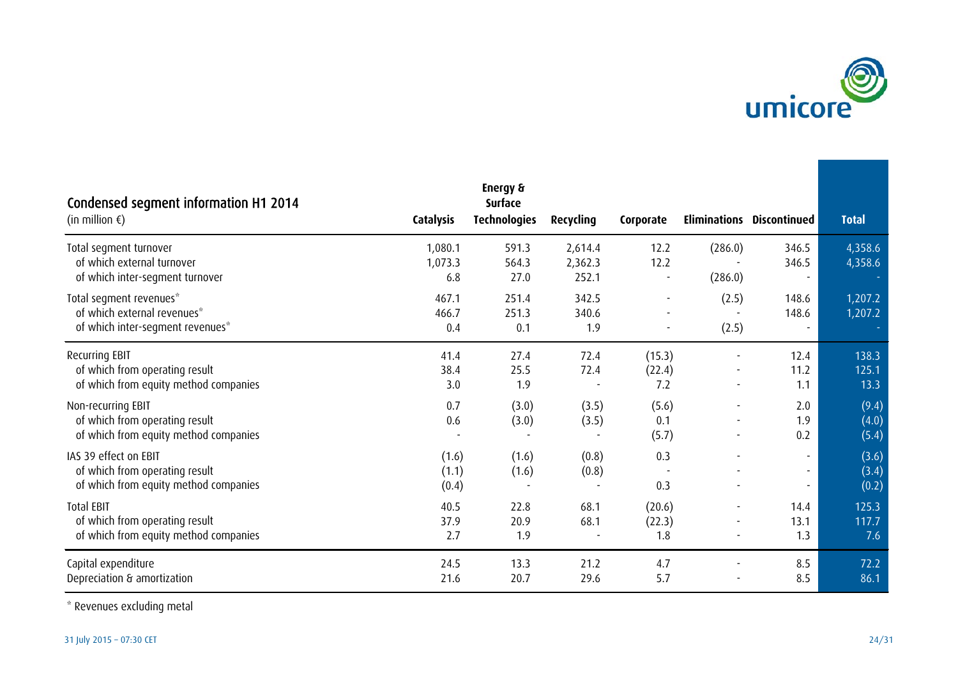

| Condensed segment information H1 2014<br>(in million $\epsilon$ )                                | <b>Catalysis</b>          | <b>Energy &amp;</b><br><b>Surface</b><br><b>Technologies</b> | Recycling                   | Corporate               |                                                      | <b>Eliminations Discontinued</b> | <b>Total</b>            |
|--------------------------------------------------------------------------------------------------|---------------------------|--------------------------------------------------------------|-----------------------------|-------------------------|------------------------------------------------------|----------------------------------|-------------------------|
| Total segment turnover<br>of which external turnover<br>of which inter-segment turnover          | 1,080.1<br>1,073.3<br>6.8 | 591.3<br>564.3<br>27.0                                       | 2,614.4<br>2,362.3<br>252.1 | 12.2<br>12.2            | (286.0)<br>(286.0)                                   | 346.5<br>346.5                   | 4,358.6<br>4,358.6      |
| Total segment revenues*<br>of which external revenues*<br>of which inter-segment revenues*       | 467.1<br>466.7<br>0.4     | 251.4<br>251.3<br>0.1                                        | 342.5<br>340.6<br>1.9       |                         | (2.5)<br>(2.5)                                       | 148.6<br>148.6                   | 1,207.2<br>1,207.2      |
| Recurring EBIT<br>of which from operating result<br>of which from equity method companies        | 41.4<br>38.4<br>3.0       | 27.4<br>25.5<br>1.9                                          | 72.4<br>72.4                | (15.3)<br>(22.4)<br>7.2 | $\qquad \qquad \blacksquare$                         | 12.4<br>11.2<br>1.1              | 138.3<br>125.1<br>13.3  |
| Non-recurring EBIT<br>of which from operating result<br>of which from equity method companies    | 0.7<br>0.6                | (3.0)<br>(3.0)                                               | (3.5)<br>(3.5)              | (5.6)<br>0.1<br>(5.7)   | $\overline{\phantom{a}}$                             | 2.0<br>1.9<br>0.2                | (9.4)<br>(4.0)<br>(5.4) |
| IAS 39 effect on EBIT<br>of which from operating result<br>of which from equity method companies | (1.6)<br>(1.1)<br>(0.4)   | (1.6)<br>(1.6)                                               | (0.8)<br>(0.8)              | 0.3<br>0.3              |                                                      | $\overline{\phantom{a}}$         | (3.6)<br>(3.4)<br>(0.2) |
| <b>Total EBIT</b><br>of which from operating result<br>of which from equity method companies     | 40.5<br>37.9<br>2.7       | 22.8<br>20.9<br>1.9                                          | 68.1<br>68.1                | (20.6)<br>(22.3)<br>1.8 | $\overline{\phantom{a}}$<br>$\overline{\phantom{a}}$ | 14.4<br>13.1<br>1.3              | 125.3<br>117.7<br>7.6   |
| Capital expenditure<br>Depreciation & amortization                                               | 24.5<br>21.6              | 13.3<br>20.7                                                 | 21.2<br>29.6                | 4.7<br>5.7              |                                                      | 8.5<br>8.5                       | 72.2<br>86.1            |

\* Revenues excluding metal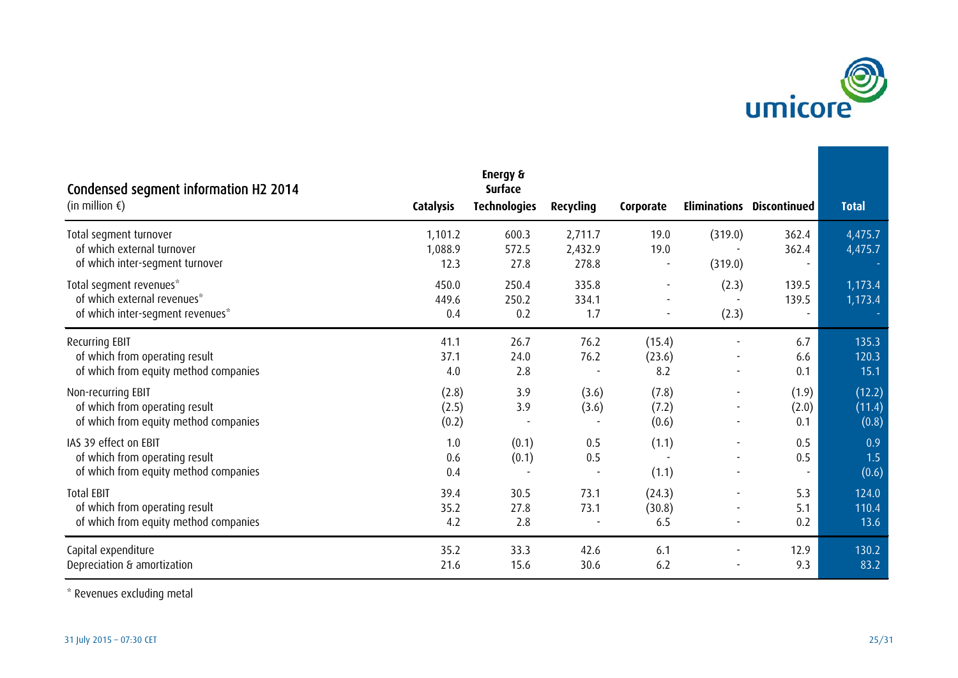

| Condensed segment information H2 2014<br>(in million $\epsilon$ )                                | <b>Catalysis</b>           | Energy &<br><b>Surface</b><br><b>Technologies</b> | Recycling                   | Corporate               |                    | <b>Eliminations Discontinued</b> | <b>Total</b>              |
|--------------------------------------------------------------------------------------------------|----------------------------|---------------------------------------------------|-----------------------------|-------------------------|--------------------|----------------------------------|---------------------------|
| Total segment turnover<br>of which external turnover<br>of which inter-segment turnover          | 1,101.2<br>1,088.9<br>12.3 | 600.3<br>572.5<br>27.8                            | 2,711.7<br>2,432.9<br>278.8 | 19.0<br>19.0            | (319.0)<br>(319.0) | 362.4<br>362.4                   | 4,475.7<br>4,475.7        |
| Total segment revenues*<br>of which external revenues*<br>of which inter-segment revenues*       | 450.0<br>449.6<br>0.4      | 250.4<br>250.2<br>0.2                             | 335.8<br>334.1<br>1.7       |                         | (2.3)<br>(2.3)     | 139.5<br>139.5                   | 1,173.4<br>1,173.4        |
| Recurring EBIT<br>of which from operating result<br>of which from equity method companies        | 41.1<br>37.1<br>4.0        | 26.7<br>24.0<br>2.8                               | 76.2<br>76.2                | (15.4)<br>(23.6)<br>8.2 |                    | 6.7<br>6.6<br>0.1                | 135.3<br>120.3<br>15.1    |
| Non-recurring EBIT<br>of which from operating result<br>of which from equity method companies    | (2.8)<br>(2.5)<br>(0.2)    | 3.9<br>3.9                                        | (3.6)<br>(3.6)              | (7.8)<br>(7.2)<br>(0.6) |                    | (1.9)<br>(2.0)<br>0.1            | (12.2)<br>(11.4)<br>(0.8) |
| IAS 39 effect on EBIT<br>of which from operating result<br>of which from equity method companies | 1.0<br>0.6<br>0.4          | (0.1)<br>(0.1)                                    | 0.5<br>0.5                  | (1.1)<br>(1.1)          |                    | 0.5<br>0.5                       | 0.9<br>1.5<br>(0.6)       |
| <b>Total EBIT</b><br>of which from operating result<br>of which from equity method companies     | 39.4<br>35.2<br>4.2        | 30.5<br>27.8<br>2.8                               | 73.1<br>73.1                | (24.3)<br>(30.8)<br>6.5 |                    | 5.3<br>5.1<br>0.2                | 124.0<br>110.4<br>13.6    |
| Capital expenditure<br>Depreciation & amortization                                               | 35.2<br>21.6               | 33.3<br>15.6                                      | 42.6<br>30.6                | 6.1<br>6.2              |                    | 12.9<br>9.3                      | 130.2<br>83.2             |

\* Revenues excluding metal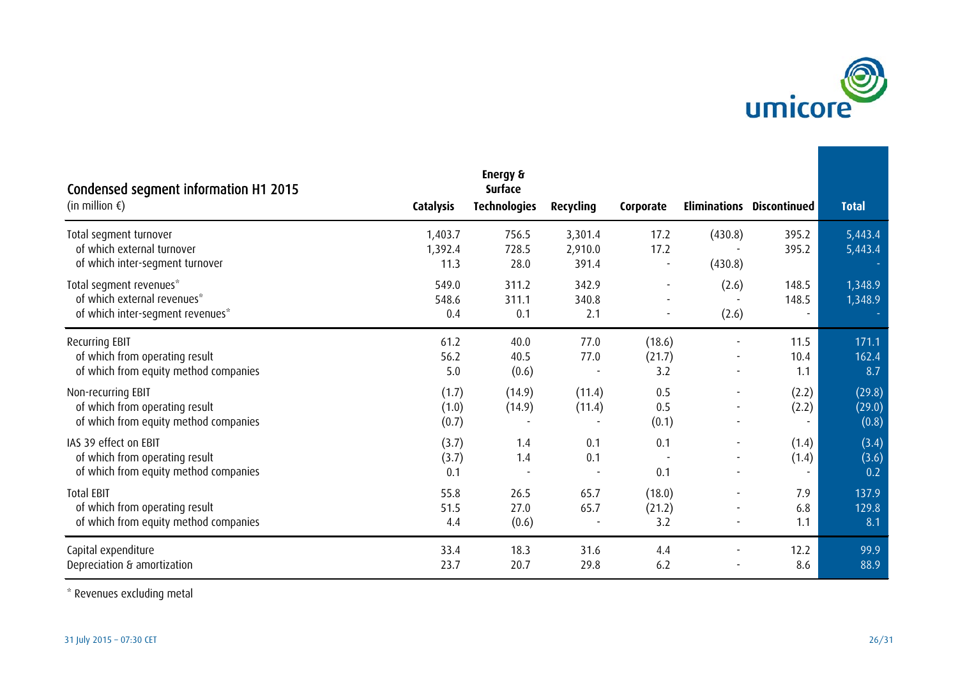

| Condensed segment information H1 2015<br>(in million $\epsilon$ )                                | <b>Catalysis</b>           | Energy &<br><b>Surface</b><br><b>Technologies</b> | Recycling                   | Corporate               |                    | <b>Eliminations Discontinued</b> | <b>Total</b>              |
|--------------------------------------------------------------------------------------------------|----------------------------|---------------------------------------------------|-----------------------------|-------------------------|--------------------|----------------------------------|---------------------------|
| Total segment turnover<br>of which external turnover<br>of which inter-segment turnover          | 1,403.7<br>1,392.4<br>11.3 | 756.5<br>728.5<br>28.0                            | 3,301.4<br>2,910.0<br>391.4 | 17.2<br>17.2            | (430.8)<br>(430.8) | 395.2<br>395.2                   | 5,443.4<br>5,443.4        |
| Total segment revenues*<br>of which external revenues*<br>of which inter-segment revenues*       | 549.0<br>548.6<br>0.4      | 311.2<br>311.1<br>0.1                             | 342.9<br>340.8<br>2.1       |                         | (2.6)<br>(2.6)     | 148.5<br>148.5                   | 1,348.9<br>1,348.9        |
| Recurring EBIT<br>of which from operating result<br>of which from equity method companies        | 61.2<br>56.2<br>5.0        | 40.0<br>40.5<br>(0.6)                             | 77.0<br>77.0                | (18.6)<br>(21.7)<br>3.2 |                    | 11.5<br>10.4<br>1.1              | 171.1<br>162.4<br>8.7     |
| Non-recurring EBIT<br>of which from operating result<br>of which from equity method companies    | (1.7)<br>(1.0)<br>(0.7)    | (14.9)<br>(14.9)                                  | (11.4)<br>(11.4)            | 0.5<br>0.5<br>(0.1)     |                    | (2.2)<br>(2.2)                   | (29.8)<br>(29.0)<br>(0.8) |
| IAS 39 effect on EBIT<br>of which from operating result<br>of which from equity method companies | (3.7)<br>(3.7)<br>0.1      | 1.4<br>1.4                                        | 0.1<br>0.1                  | 0.1<br>0.1              |                    | (1.4)<br>(1.4)                   | (3.4)<br>(3.6)<br>0.2     |
| <b>Total EBIT</b><br>of which from operating result<br>of which from equity method companies     | 55.8<br>51.5<br>4.4        | 26.5<br>27.0<br>(0.6)                             | 65.7<br>65.7                | (18.0)<br>(21.2)<br>3.2 |                    | 7.9<br>6.8<br>1.1                | 137.9<br>129.8<br>8.1     |
| Capital expenditure<br>Depreciation & amortization                                               | 33.4<br>23.7               | 18.3<br>20.7                                      | 31.6<br>29.8                | 4.4<br>6.2              |                    | 12.2<br>8.6                      | 99.9<br>88.9              |

\* Revenues excluding metal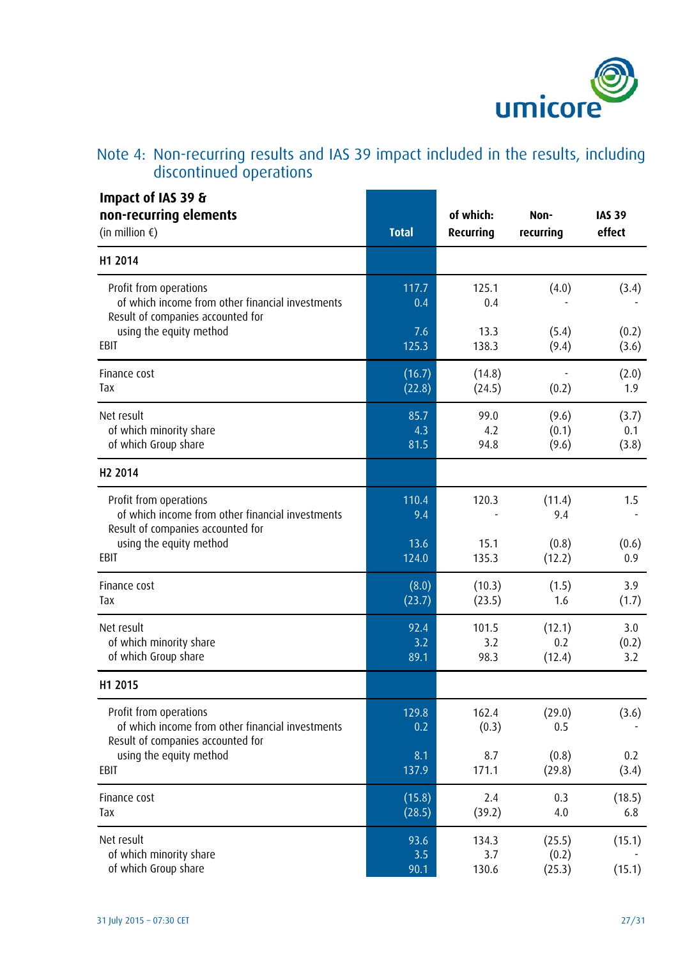

## Note 4: Non-recurring results and IAS 39 impact included in the results, including discontinued operations

| Impact of IAS 39 &<br>non-recurring elements<br>(in million $\epsilon$ )                                        | <b>Total</b>        | of which:<br>Recurring | Non-<br>recurring         | <b>IAS 39</b><br>effect |
|-----------------------------------------------------------------------------------------------------------------|---------------------|------------------------|---------------------------|-------------------------|
| H1 2014                                                                                                         |                     |                        |                           |                         |
| Profit from operations<br>of which income from other financial investments<br>Result of companies accounted for | 117.7<br>0.4        | 125.1<br>0.4           | (4.0)                     | (3.4)                   |
| using the equity method                                                                                         | 7.6                 | 13.3                   | (5.4)                     | (0.2)                   |
| EBIT                                                                                                            | 125.3               | 138.3                  | (9.4)                     | (3.6)                   |
| Finance cost                                                                                                    | (16.7)              | (14.8)                 | (0.2)                     | (2.0)                   |
| Tax                                                                                                             | (22.8)              | (24.5)                 |                           | 1.9                     |
| Net result                                                                                                      | 85.7                | 99.0                   | (9.6)                     | (3.7)                   |
| of which minority share                                                                                         | 4.3                 | 4.2                    | (0.1)                     | 0.1                     |
| of which Group share                                                                                            | 81.5                | 94.8                   | (9.6)                     | (3.8)                   |
| H <sub>2</sub> 2014                                                                                             |                     |                        |                           |                         |
| Profit from operations<br>of which income from other financial investments<br>Result of companies accounted for | 110.4<br>9.4        | 120.3                  | (11.4)<br>9.4             | 1.5                     |
| using the equity method                                                                                         | 13.6                | 15.1                   | (0.8)                     | (0.6)                   |
| EBIT                                                                                                            | 124.0               | 135.3                  | (12.2)                    | 0.9                     |
| Finance cost                                                                                                    | (8.0)               | (10.3)                 | (1.5)                     | 3.9                     |
| Tax                                                                                                             | (23.7)              | (23.5)                 | 1.6                       | (1.7)                   |
| Net result                                                                                                      | 92.4                | 101.5                  | (12.1)                    | 3.0                     |
| of which minority share                                                                                         | 3.2                 | 3.2                    | 0.2                       | (0.2)                   |
| of which Group share                                                                                            | 89.1                | 98.3                   | (12.4)                    | 3.2                     |
| H1 2015                                                                                                         |                     |                        |                           |                         |
| Profit from operations<br>of which income from other financial investments<br>Result of companies accounted for | 129.8<br>0.2        | 162.4<br>(0.3)         | (29.0)<br>0.5             | (3.6)                   |
| using the equity method                                                                                         | 8.1                 | 8.7                    | (0.8)                     | 0.2                     |
| EBIT                                                                                                            | 137.9               | 171.1                  | (29.8)                    | (3.4)                   |
| Finance cost                                                                                                    | (15.8)              | 2.4                    | 0.3                       | (18.5)                  |
| Tax                                                                                                             | (28.5)              | (39.2)                 | 4.0                       | 6.8                     |
| Net result<br>of which minority share<br>of which Group share                                                   | 93.6<br>3.5<br>90.1 | 134.3<br>3.7<br>130.6  | (25.5)<br>(0.2)<br>(25.3) | (15.1)<br>(15.1)        |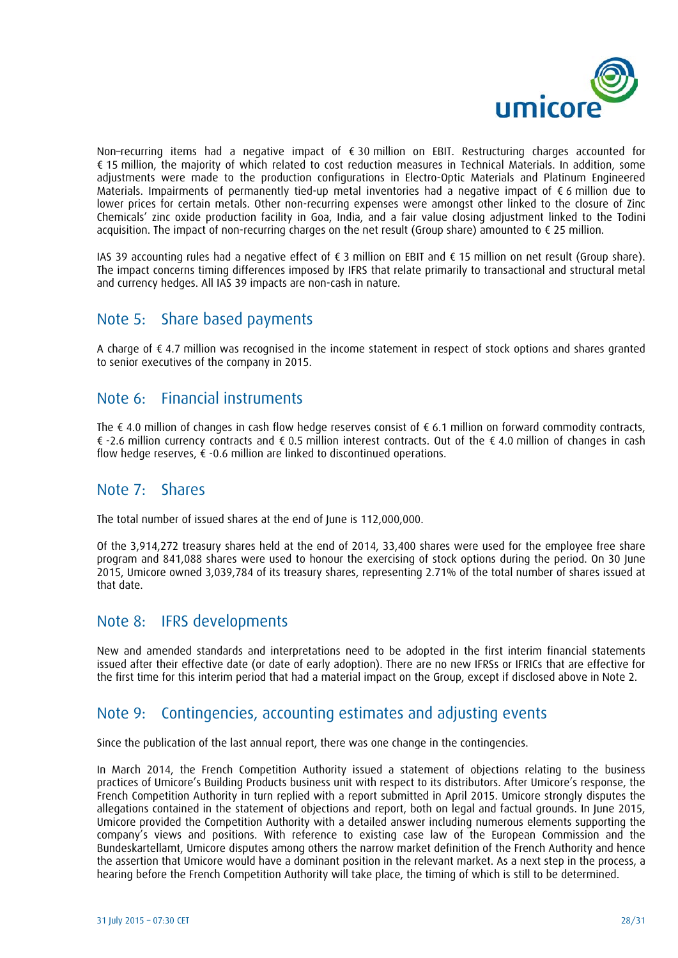

Non–recurring items had a negative impact of € 30 million on EBIT. Restructuring charges accounted for € 15 million, the majority of which related to cost reduction measures in Technical Materials. In addition, some adjustments were made to the production configurations in Electro-Optic Materials and Platinum Engineered Materials. Impairments of permanently tied-up metal inventories had a negative impact of € 6 million due to lower prices for certain metals. Other non-recurring expenses were amongst other linked to the closure of Zinc Chemicals' zinc oxide production facility in Goa, India, and a fair value closing adjustment linked to the Todini acquisition. The impact of non-recurring charges on the net result (Group share) amounted to € 25 million.

IAS 39 accounting rules had a negative effect of € 3 million on EBIT and € 15 million on net result (Group share). The impact concerns timing differences imposed by IFRS that relate primarily to transactional and structural metal and currency hedges. All IAS 39 impacts are non-cash in nature.

## Note 5: Share based payments

A charge of € 4.7 million was recognised in the income statement in respect of stock options and shares granted to senior executives of the company in 2015.

## Note 6: Financial instruments

The € 4.0 million of changes in cash flow hedge reserves consist of € 6.1 million on forward commodity contracts, € -2.6 million currency contracts and € 0.5 million interest contracts. Out of the € 4.0 million of changes in cash flow hedge reserves,  $\epsilon$  -0.6 million are linked to discontinued operations.

## Note 7: Shares

The total number of issued shares at the end of June is 112,000,000.

Of the 3,914,272 treasury shares held at the end of 2014, 33,400 shares were used for the employee free share program and 841,088 shares were used to honour the exercising of stock options during the period. On 30 June 2015, Umicore owned 3,039,784 of its treasury shares, representing 2.71% of the total number of shares issued at that date.

### Note 8: IFRS developments

New and amended standards and interpretations need to be adopted in the first interim financial statements issued after their effective date (or date of early adoption). There are no new IFRSs or IFRICs that are effective for the first time for this interim period that had a material impact on the Group, except if disclosed above in Note 2.

## Note 9: Contingencies, accounting estimates and adjusting events

Since the publication of the last annual report, there was one change in the contingencies.

In March 2014, the French Competition Authority issued a statement of objections relating to the business practices of Umicore's Building Products business unit with respect to its distributors. After Umicore's response, the French Competition Authority in turn replied with a report submitted in April 2015. Umicore strongly disputes the allegations contained in the statement of objections and report, both on legal and factual grounds. In June 2015, Umicore provided the Competition Authority with a detailed answer including numerous elements supporting the company's views and positions. With reference to existing case law of the European Commission and the Bundeskartellamt, Umicore disputes among others the narrow market definition of the French Authority and hence the assertion that Umicore would have a dominant position in the relevant market. As a next step in the process, a hearing before the French Competition Authority will take place, the timing of which is still to be determined.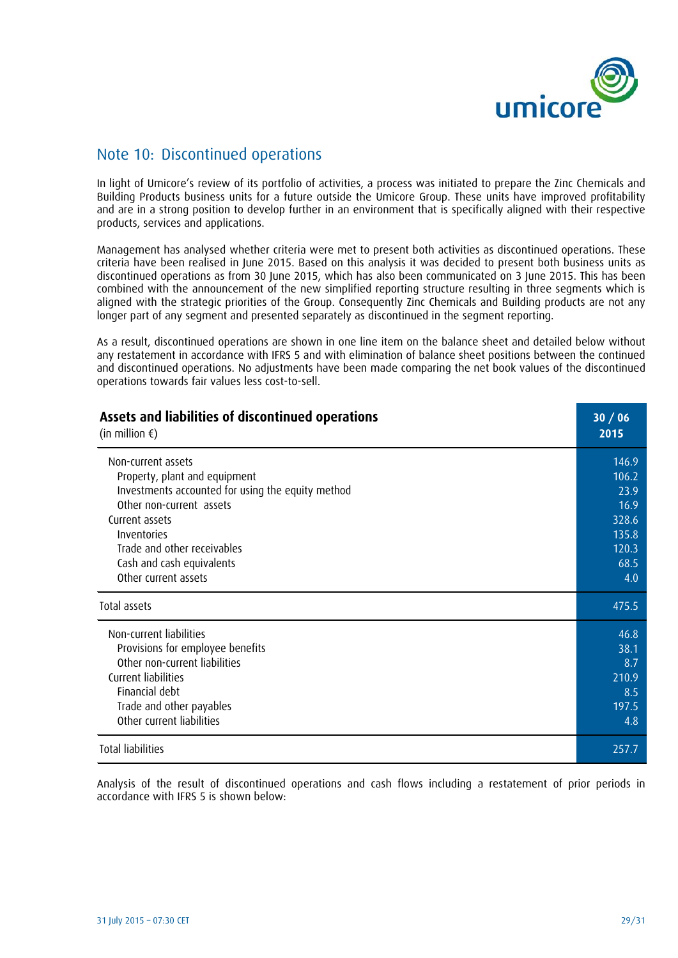

## Note 10: Discontinued operations

In light of Umicore's review of its portfolio of activities, a process was initiated to prepare the Zinc Chemicals and Building Products business units for a future outside the Umicore Group. These units have improved profitability and are in a strong position to develop further in an environment that is specifically aligned with their respective products, services and applications.

Management has analysed whether criteria were met to present both activities as discontinued operations. These criteria have been realised in June 2015. Based on this analysis it was decided to present both business units as discontinued operations as from 30 June 2015, which has also been communicated on 3 June 2015. This has been combined with the announcement of the new simplified reporting structure resulting in three segments which is aligned with the strategic priorities of the Group. Consequently Zinc Chemicals and Building products are not any longer part of any segment and presented separately as discontinued in the segment reporting.

As a result, discontinued operations are shown in one line item on the balance sheet and detailed below without any restatement in accordance with IFRS 5 and with elimination of balance sheet positions between the continued and discontinued operations. No adjustments have been made comparing the net book values of the discontinued operations towards fair values less cost-to-sell.

| Assets and liabilities of discontinued operations | 30/06 |
|---------------------------------------------------|-------|
| (in million $\epsilon$ )                          | 2015  |
| Non-current assets                                | 146.9 |
| Property, plant and equipment                     | 106.2 |
| Investments accounted for using the equity method | 23.9  |
| Other non-current assets                          | 16.9  |
| Current assets                                    | 328.6 |
| Inventories                                       | 135.8 |
| Trade and other receivables                       | 120.3 |
| Cash and cash equivalents                         | 68.5  |
| Other current assets                              | 4.0   |
| <b>Total assets</b>                               | 475.5 |
| Non-current liabilities                           | 46.8  |
| Provisions for employee benefits                  | 38.1  |
| Other non-current liabilities                     | 8.7   |
| Current liabilities                               | 210.9 |
| Financial debt                                    | 8.5   |
| Trade and other payables                          | 197.5 |
| Other current liabilities                         | 4.8   |
| <b>Total liabilities</b>                          | 257.7 |

Analysis of the result of discontinued operations and cash flows including a restatement of prior periods in accordance with IFRS 5 is shown below: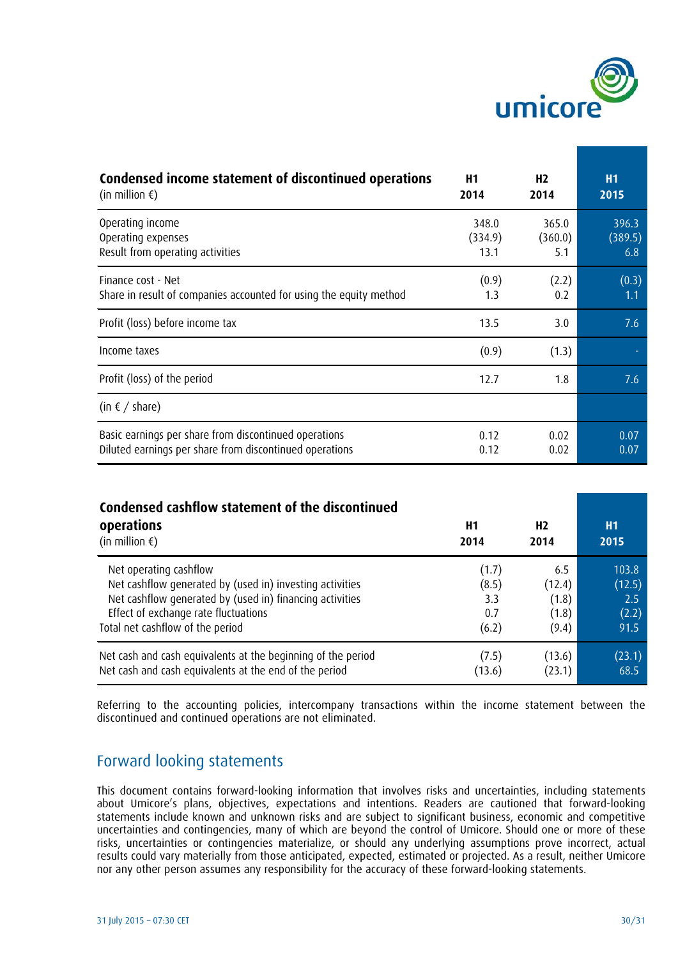

| Condensed income statement of discontinued operations              | H1      | H <sub>2</sub> | <b>H1</b> |
|--------------------------------------------------------------------|---------|----------------|-----------|
| (in million $\epsilon$ )                                           | 2014    | 2014           | 2015      |
| Operating income                                                   | 348.0   | 365.0          | 396.3     |
| Operating expenses                                                 | (334.9) | (360.0)        | (389.5)   |
| Result from operating activities                                   | 13.1    | 5.1            | 6.8       |
| Finance cost - Net                                                 | (0.9)   | (2.2)          | (0.3)     |
| Share in result of companies accounted for using the equity method | 1.3     | 0.2            | 1.1       |
| Profit (loss) before income tax                                    | 13.5    | 3.0            | 7.6       |
| Income taxes                                                       | (0.9)   | (1.3)          |           |
| Profit (loss) of the period                                        | 12.7    | 1.8            | 7.6       |
| (in $\epsilon$ / share)                                            |         |                |           |
| Basic earnings per share from discontinued operations              | 0.12    | 0.02           | 0.07      |
| Diluted earnings per share from discontinued operations            | 0.12    | 0.02           | 0.07      |

| Condensed cashflow statement of the discontinued<br>operations<br>(in million $\epsilon$ ) | H1<br>2014 | H <sub>2</sub><br>2014 | H1<br>2015 |
|--------------------------------------------------------------------------------------------|------------|------------------------|------------|
| Net operating cashflow                                                                     | (1.7)      | 6.5                    | 103.8      |
| Net cashflow generated by (used in) investing activities                                   | (8.5)      | (12.4)                 | (12.5)     |
| Net cashflow generated by (used in) financing activities                                   | 3.3        | (1.8)                  | 2.5        |
| Effect of exchange rate fluctuations                                                       | 0.7        | (1.8)                  | (2.2)      |
| Total net cashflow of the period                                                           | (6.2)      | (9.4)                  | 91.5       |
| Net cash and cash equivalents at the beginning of the period                               | (7.5)      | (13.6)                 | (23.1)     |
| Net cash and cash equivalents at the end of the period                                     | (13.6)     | (23.1)                 | 68.5       |

Referring to the accounting policies, intercompany transactions within the income statement between the discontinued and continued operations are not eliminated.

## Forward looking statements

This document contains forward-looking information that involves risks and uncertainties, including statements about Umicore's plans, objectives, expectations and intentions. Readers are cautioned that forward-looking statements include known and unknown risks and are subject to significant business, economic and competitive uncertainties and contingencies, many of which are beyond the control of Umicore. Should one or more of these risks, uncertainties or contingencies materialize, or should any underlying assumptions prove incorrect, actual results could vary materially from those anticipated, expected, estimated or projected. As a result, neither Umicore nor any other person assumes any responsibility for the accuracy of these forward-looking statements.